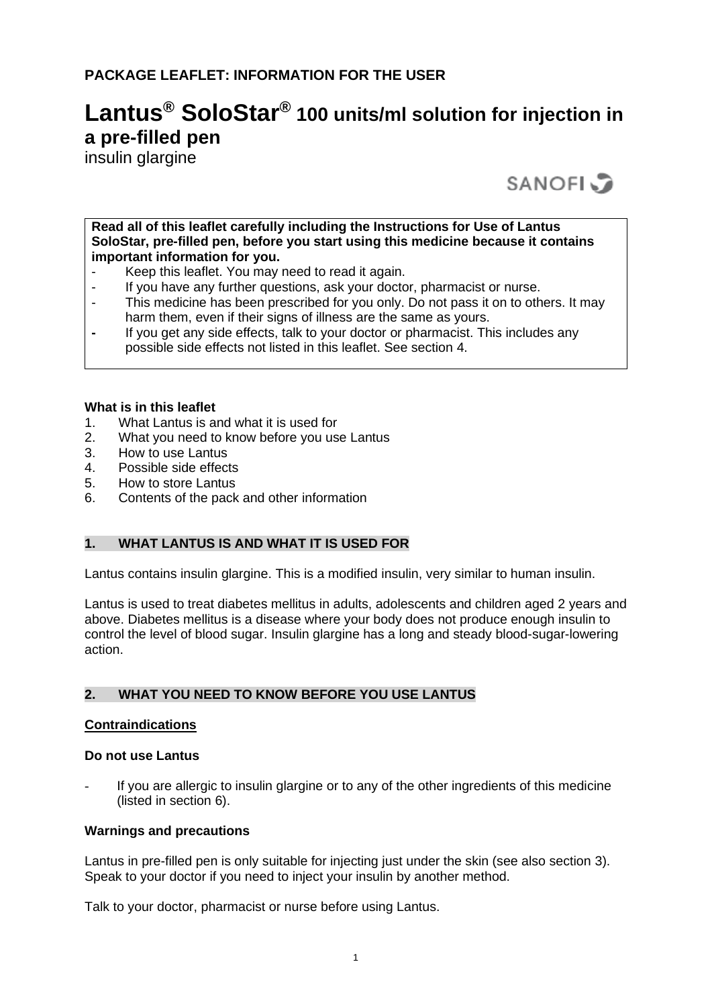# **Lantus® SoloStar® 100 units/ml solution for injection in a pre-filled pen**

insulin glargine

**SANOFI** 

**Read all of this leaflet carefully including the Instructions for Use of Lantus SoloStar, pre-filled pen, before you start using this medicine because it contains important information for you.**

- Keep this leaflet. You may need to read it again.<br>- If you have any further questions, ask your doctor-
- If you have any further questions, ask your doctor, pharmacist or nurse.
- This medicine has been prescribed for you only. Do not pass it on to others. It may harm them, even if their signs of illness are the same as yours.
- **-** If you get any side effects, talk to your doctor or pharmacist. This includes any possible side effects not listed in this leaflet. See section 4.

#### **What is in this leaflet**

- 1. What Lantus is and what it is used for
- 2. What you need to know before you use Lantus
- 3. How to use Lantus
- 4. Possible side effects
- 5. How to store Lantus
- 6. Contents of the pack and other information

## **1. WHAT LANTUS IS AND WHAT IT IS USED FOR**

Lantus contains insulin glargine. This is a modified insulin, very similar to human insulin.

Lantus is used to treat diabetes mellitus in adults, adolescents and children aged 2 years and above. Diabetes mellitus is a disease where your body does not produce enough insulin to control the level of blood sugar. Insulin glargine has a long and steady blood-sugar-lowering action.

## **2. WHAT YOU NEED TO KNOW BEFORE YOU USE LANTUS**

#### **Contraindications**

#### **Do not use Lantus**

If you are allergic to insulin glargine or to any of the other ingredients of this medicine (listed in section 6).

#### **Warnings and precautions**

Lantus in pre-filled pen is only suitable for injecting just under the skin (see also section 3). Speak to your doctor if you need to inject your insulin by another method.

Talk to your doctor, pharmacist or nurse before using Lantus.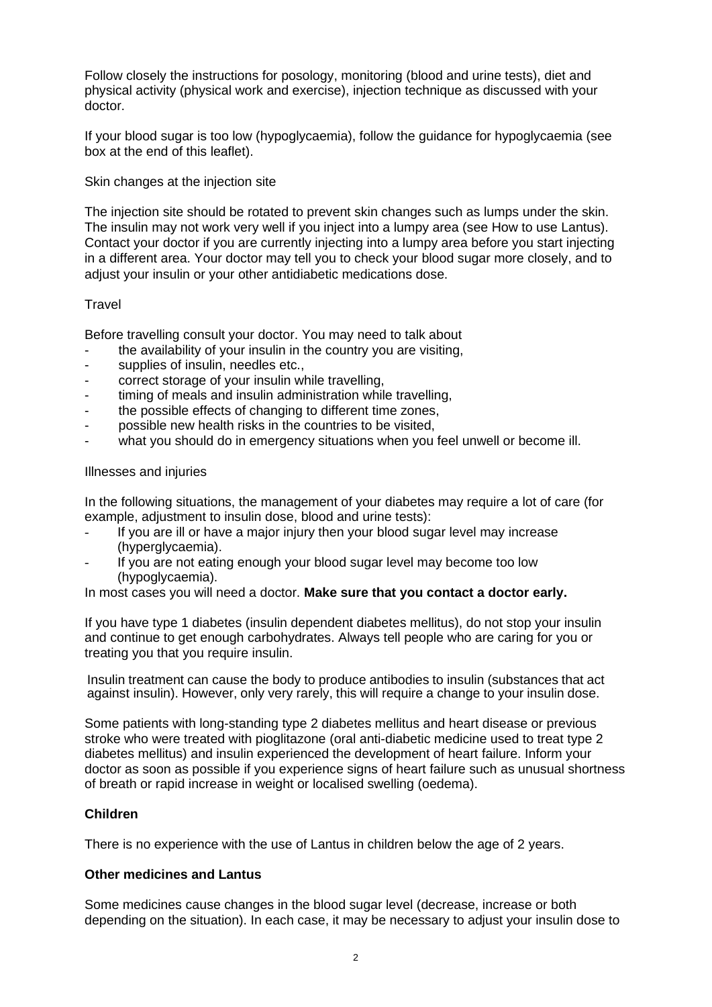Follow closely the instructions for posology, monitoring (blood and urine tests), diet and physical activity (physical work and exercise), injection technique as discussed with your doctor.

If your blood sugar is too low (hypoglycaemia), follow the guidance for hypoglycaemia (see box at the end of this leaflet).

Skin changes at the injection site

The injection site should be rotated to prevent skin changes such as lumps under the skin. The insulin may not work very well if you inject into a lumpy area (see How to use Lantus). Contact your doctor if you are currently injecting into a lumpy area before you start injecting in a different area. Your doctor may tell you to check your blood sugar more closely, and to adjust your insulin or your other antidiabetic medications dose.

#### **Travel**

Before travelling consult your doctor. You may need to talk about

- the availability of your insulin in the country you are visiting,
- supplies of insulin, needles etc.,
- correct storage of your insulin while travelling,
- timing of meals and insulin administration while travelling,
- the possible effects of changing to different time zones,
- possible new health risks in the countries to be visited,
- what you should do in emergency situations when you feel unwell or become ill.

#### Illnesses and injuries

In the following situations, the management of your diabetes may require a lot of care (for example, adjustment to insulin dose, blood and urine tests):

- If you are ill or have a major injury then your blood sugar level may increase (hyperglycaemia).
- If you are not eating enough your blood sugar level may become too low (hypoglycaemia).

In most cases you will need a doctor. **Make sure that you contact a doctor early.**

If you have type 1 diabetes (insulin dependent diabetes mellitus), do not stop your insulin and continue to get enough carbohydrates. Always tell people who are caring for you or treating you that you require insulin.

Insulin treatment can cause the body to produce antibodies to insulin (substances that act against insulin). However, only very rarely, this will require a change to your insulin dose.

Some patients with long-standing type 2 diabetes mellitus and heart disease or previous stroke who were treated with pioglitazone (oral anti-diabetic medicine used to treat type 2 diabetes mellitus) and insulin experienced the development of heart failure. Inform your doctor as soon as possible if you experience signs of heart failure such as unusual shortness of breath or rapid increase in weight or localised swelling (oedema).

#### **Children**

There is no experience with the use of Lantus in children below the age of 2 years.

#### **Other medicines and Lantus**

Some medicines cause changes in the blood sugar level (decrease, increase or both depending on the situation). In each case, it may be necessary to adjust your insulin dose to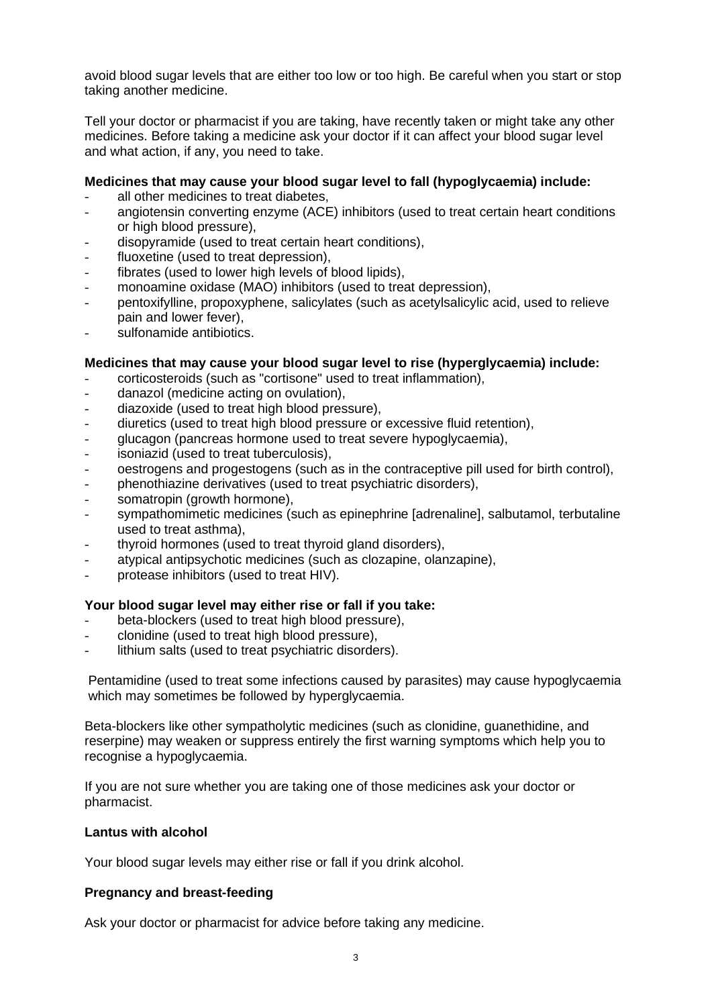avoid blood sugar levels that are either too low or too high. Be careful when you start or stop taking another medicine.

Tell your doctor or pharmacist if you are taking, have recently taken or might take any other medicines. Before taking a medicine ask your doctor if it can affect your blood sugar level and what action, if any, you need to take.

#### **Medicines that may cause your blood sugar level to fall (hypoglycaemia) include:**

- all other medicines to treat diabetes,
- angiotensin converting enzyme (ACE) inhibitors (used to treat certain heart conditions or high blood pressure),
- disopyramide (used to treat certain heart conditions),
- fluoxetine (used to treat depression),
- fibrates (used to lower high levels of blood lipids),
- monoamine oxidase (MAO) inhibitors (used to treat depression),
- pentoxifylline, propoxyphene, salicylates (such as acetylsalicylic acid, used to relieve pain and lower fever),
- sulfonamide antibiotics.

#### **Medicines that may cause your blood sugar level to rise (hyperglycaemia) include:**

- corticosteroids (such as "cortisone" used to treat inflammation),
- danazol (medicine acting on ovulation),
- diazoxide (used to treat high blood pressure),
- diuretics (used to treat high blood pressure or excessive fluid retention),
- glucagon (pancreas hormone used to treat severe hypoglycaemia),
- isoniazid (used to treat tuberculosis).
- oestrogens and progestogens (such as in the contraceptive pill used for birth control),
- phenothiazine derivatives (used to treat psychiatric disorders),
- somatropin (growth hormone),
- sympathomimetic medicines (such as epinephrine [adrenaline], salbutamol, terbutaline used to treat asthma),
- thyroid hormones (used to treat thyroid gland disorders),
- atypical antipsychotic medicines (such as clozapine, olanzapine),
- protease inhibitors (used to treat HIV).

#### **Your blood sugar level may either rise or fall if you take:**

- beta-blockers (used to treat high blood pressure),
- clonidine (used to treat high blood pressure),
- lithium salts (used to treat psychiatric disorders).

Pentamidine (used to treat some infections caused by parasites) may cause hypoglycaemia which may sometimes be followed by hyperglycaemia.

Beta-blockers like other sympatholytic medicines (such as clonidine, guanethidine, and reserpine) may weaken or suppress entirely the first warning symptoms which help you to recognise a hypoglycaemia.

If you are not sure whether you are taking one of those medicines ask your doctor or pharmacist.

#### **Lantus with alcohol**

Your blood sugar levels may either rise or fall if you drink alcohol.

#### **Pregnancy and breast-feeding**

Ask your doctor or pharmacist for advice before taking any medicine.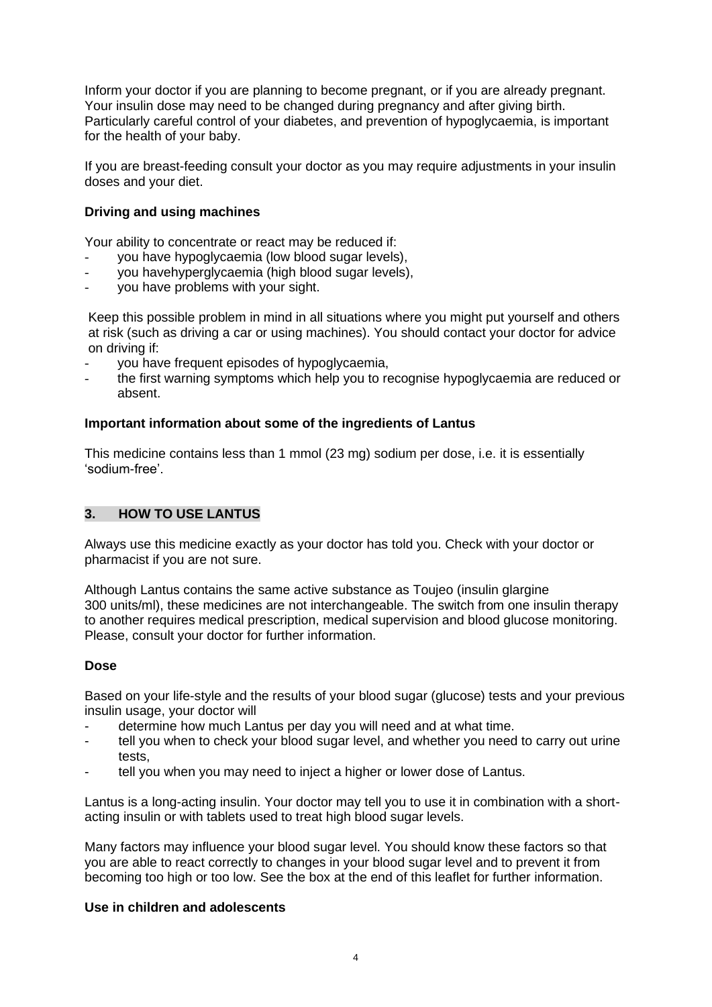Inform your doctor if you are planning to become pregnant, or if you are already pregnant. Your insulin dose may need to be changed during pregnancy and after giving birth. Particularly careful control of your diabetes, and prevention of hypoglycaemia, is important for the health of your baby.

If you are breast-feeding consult your doctor as you may require adjustments in your insulin doses and your diet.

## **Driving and using machines**

Your ability to concentrate or react may be reduced if:

- you have hypoglycaemia (low blood sugar levels),
- you havehyperglycaemia (high blood sugar levels),
- you have problems with your sight.

Keep this possible problem in mind in all situations where you might put yourself and others at risk (such as driving a car or using machines). You should contact your doctor for advice on driving if:

- you have frequent episodes of hypoglycaemia,
- the first warning symptoms which help you to recognise hypoglycaemia are reduced or absent.

#### **Important information about some of the ingredients of Lantus**

This medicine contains less than 1 mmol (23 mg) sodium per dose, i.e. it is essentially 'sodium-free'.

#### **3. HOW TO USE LANTUS**

Always use this medicine exactly as your doctor has told you. Check with your doctor or pharmacist if you are not sure.

Although Lantus contains the same active substance as Toujeo (insulin glargine 300 units/ml), these medicines are not interchangeable. The switch from one insulin therapy to another requires medical prescription, medical supervision and blood glucose monitoring. Please, consult your doctor for further information.

#### **Dose**

Based on your life-style and the results of your blood sugar (glucose) tests and your previous insulin usage, your doctor will

- determine how much Lantus per day you will need and at what time.
- tell you when to check your blood sugar level, and whether you need to carry out urine tests,
- tell you when you may need to inject a higher or lower dose of Lantus.

Lantus is a long-acting insulin. Your doctor may tell you to use it in combination with a shortacting insulin or with tablets used to treat high blood sugar levels.

Many factors may influence your blood sugar level. You should know these factors so that you are able to react correctly to changes in your blood sugar level and to prevent it from becoming too high or too low. See the box at the end of this leaflet for further information.

#### **Use in children and adolescents**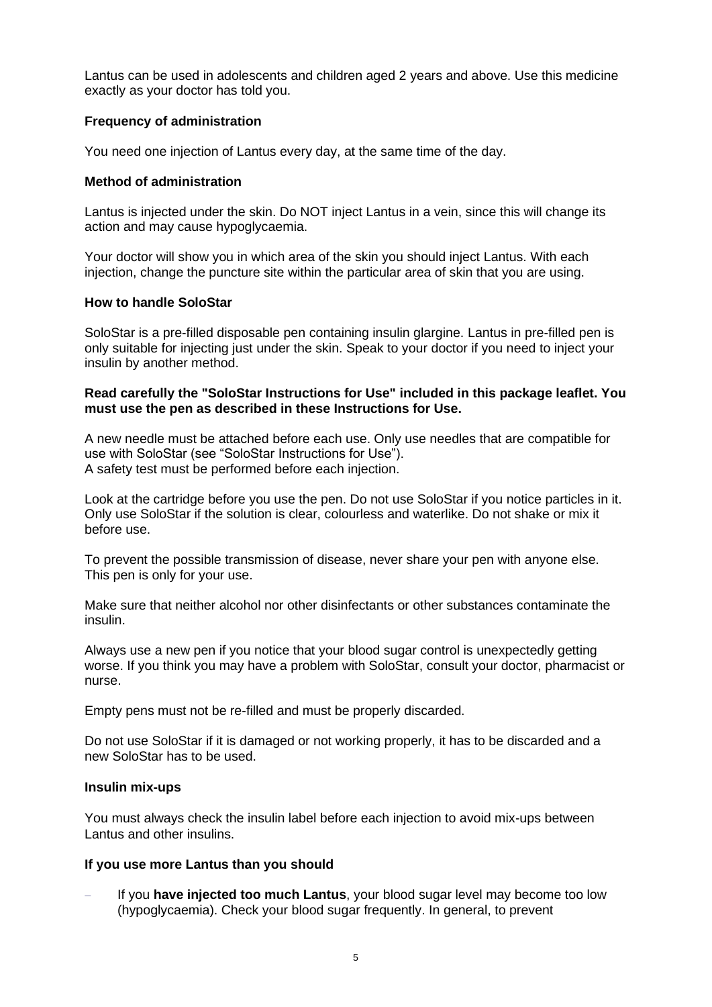Lantus can be used in adolescents and children aged 2 years and above. Use this medicine exactly as your doctor has told you.

#### **Frequency of administration**

You need one injection of Lantus every day, at the same time of the day.

## **Method of administration**

Lantus is injected under the skin. Do NOT inject Lantus in a vein, since this will change its action and may cause hypoglycaemia.

Your doctor will show you in which area of the skin you should inject Lantus. With each injection, change the puncture site within the particular area of skin that you are using.

## **How to handle SoloStar**

SoloStar is a pre-filled disposable pen containing insulin glargine. Lantus in pre-filled pen is only suitable for injecting just under the skin. Speak to your doctor if you need to inject your insulin by another method.

#### **Read carefully the "SoloStar Instructions for Use" included in this package leaflet. You must use the pen as described in these Instructions for Use.**

A new needle must be attached before each use. Only use needles that are compatible for use with SoloStar (see "SoloStar Instructions for Use"). A safety test must be performed before each injection.

Look at the cartridge before you use the pen. Do not use SoloStar if you notice particles in it. Only use SoloStar if the solution is clear, colourless and waterlike. Do not shake or mix it before use.

To prevent the possible transmission of disease, never share your pen with anyone else. This pen is only for your use.

Make sure that neither alcohol nor other disinfectants or other substances contaminate the insulin.

Always use a new pen if you notice that your blood sugar control is unexpectedly getting worse. If you think you may have a problem with SoloStar, consult your doctor, pharmacist or nurse.

Empty pens must not be re-filled and must be properly discarded.

Do not use SoloStar if it is damaged or not working properly, it has to be discarded and a new SoloStar has to be used.

#### **Insulin mix-ups**

You must always check the insulin label before each injection to avoid mix-ups between Lantus and other insulins.

## **If you use more Lantus than you should**

If you have injected too much Lantus, your blood sugar level may become too low (hypoglycaemia). Check your blood sugar frequently. In general, to prevent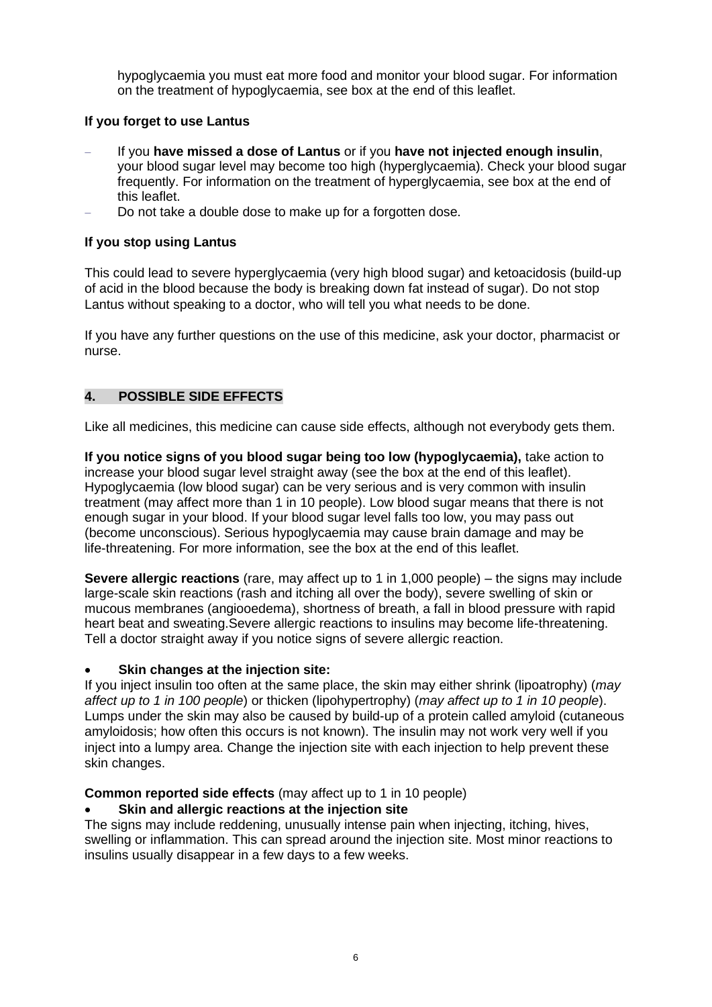hypoglycaemia you must eat more food and monitor your blood sugar. For information on the treatment of hypoglycaemia, see box at the end of this leaflet.

## **If you forget to use Lantus**

- − If you **have missed a dose of Lantus** or if you **have not injected enough insulin**, your blood sugar level may become too high (hyperglycaemia). Check your blood sugar frequently. For information on the treatment of hyperglycaemia, see box at the end of this leaflet.
- Do not take a double dose to make up for a forgotten dose.

## **If you stop using Lantus**

This could lead to severe hyperglycaemia (very high blood sugar) and ketoacidosis (build-up of acid in the blood because the body is breaking down fat instead of sugar). Do not stop Lantus without speaking to a doctor, who will tell you what needs to be done.

If you have any further questions on the use of this medicine, ask your doctor, pharmacist or nurse.

## **4. POSSIBLE SIDE EFFECTS**

Like all medicines, this medicine can cause side effects, although not everybody gets them.

**If you notice signs of you blood sugar being too low (hypoglycaemia),** take action to increase your blood sugar level straight away (see the box at the end of this leaflet). Hypoglycaemia (low blood sugar) can be very serious and is very common with insulin treatment (may affect more than 1 in 10 people). Low blood sugar means that there is not enough sugar in your blood. If your blood sugar level falls too low, you may pass out (become unconscious). Serious hypoglycaemia may cause brain damage and may be life-threatening. For more information, see the box at the end of this leaflet.

**Severe allergic reactions** (rare, may affect up to 1 in 1,000 people) – the signs may include large-scale skin reactions (rash and itching all over the body), severe swelling of skin or mucous membranes (angiooedema), shortness of breath, a fall in blood pressure with rapid heart beat and sweating.Severe allergic reactions to insulins may become life-threatening. Tell a doctor straight away if you notice signs of severe allergic reaction.

#### • **Skin changes at the injection site:**

If you inject insulin too often at the same place, the skin may either shrink (lipoatrophy) (*may affect up to 1 in 100 people*) or thicken (lipohypertrophy) (*may affect up to 1 in 10 people*). Lumps under the skin may also be caused by build-up of a protein called amyloid (cutaneous amyloidosis; how often this occurs is not known). The insulin may not work very well if you inject into a lumpy area. Change the injection site with each injection to help prevent these skin changes.

**Common reported side effects** (may affect up to 1 in 10 people)

#### • **Skin and allergic reactions at the injection site**

The signs may include reddening, unusually intense pain when injecting, itching, hives, swelling or inflammation. This can spread around the injection site. Most minor reactions to insulins usually disappear in a few days to a few weeks.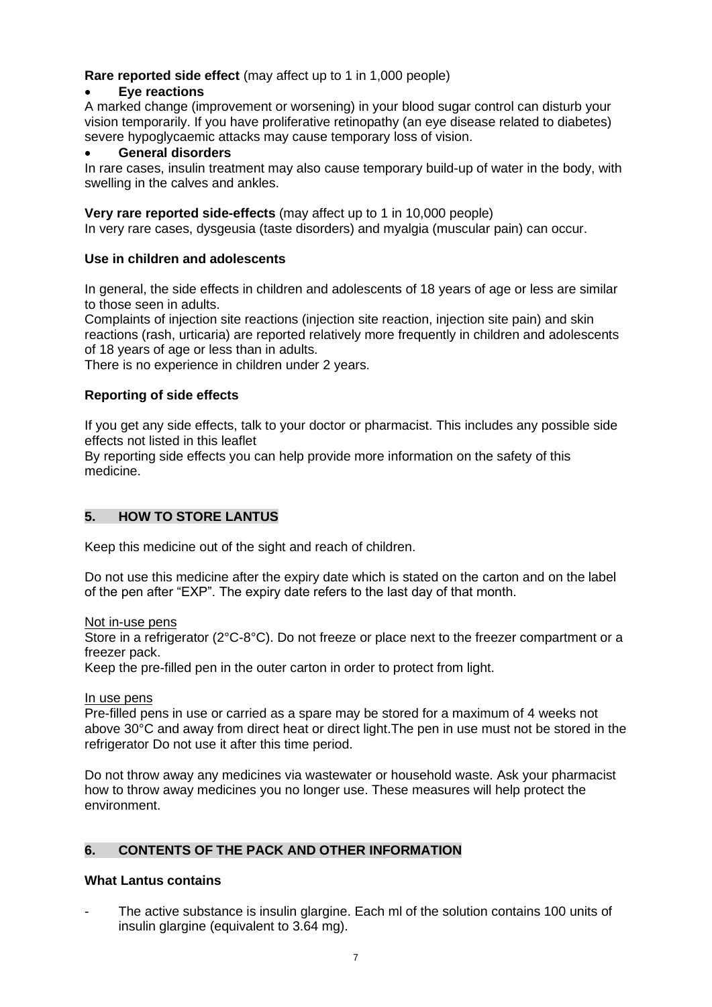## **Rare reported side effect** (may affect up to 1 in 1,000 people)

#### • **Eye reactions**

A marked change (improvement or worsening) in your blood sugar control can disturb your vision temporarily. If you have proliferative retinopathy (an eye disease related to diabetes) severe hypoglycaemic attacks may cause temporary loss of vision.

### • **General disorders**

In rare cases, insulin treatment may also cause temporary build-up of water in the body, with swelling in the calves and ankles.

#### **Very rare reported side-effects** (may affect up to 1 in 10,000 people)

In very rare cases, dysgeusia (taste disorders) and myalgia (muscular pain) can occur.

#### **Use in children and adolescents**

In general, the side effects in children and adolescents of 18 years of age or less are similar to those seen in adults.

Complaints of injection site reactions (injection site reaction, injection site pain) and skin reactions (rash, urticaria) are reported relatively more frequently in children and adolescents of 18 years of age or less than in adults.

There is no experience in children under 2 years.

#### **Reporting of side effects**

If you get any side effects, talk to your doctor or pharmacist. This includes any possible side effects not listed in this leaflet

By reporting side effects you can help provide more information on the safety of this medicine.

#### **5. HOW TO STORE LANTUS**

Keep this medicine out of the sight and reach of children.

Do not use this medicine after the expiry date which is stated on the carton and on the label of the pen after "EXP". The expiry date refers to the last day of that month.

Not in-use pens

Store in a refrigerator (2°C-8°C). Do not freeze or place next to the freezer compartment or a freezer pack.

Keep the pre-filled pen in the outer carton in order to protect from light.

#### In use pens

Pre-filled pens in use or carried as a spare may be stored for a maximum of 4 weeks not above 30°C and away from direct heat or direct light.The pen in use must not be stored in the refrigerator Do not use it after this time period.

Do not throw away any medicines via wastewater or household waste. Ask your pharmacist how to throw away medicines you no longer use. These measures will help protect the environment.

#### **6. CONTENTS OF THE PACK AND OTHER INFORMATION**

#### **What Lantus contains**

The active substance is insulin glargine. Each ml of the solution contains 100 units of insulin glargine (equivalent to 3.64 mg).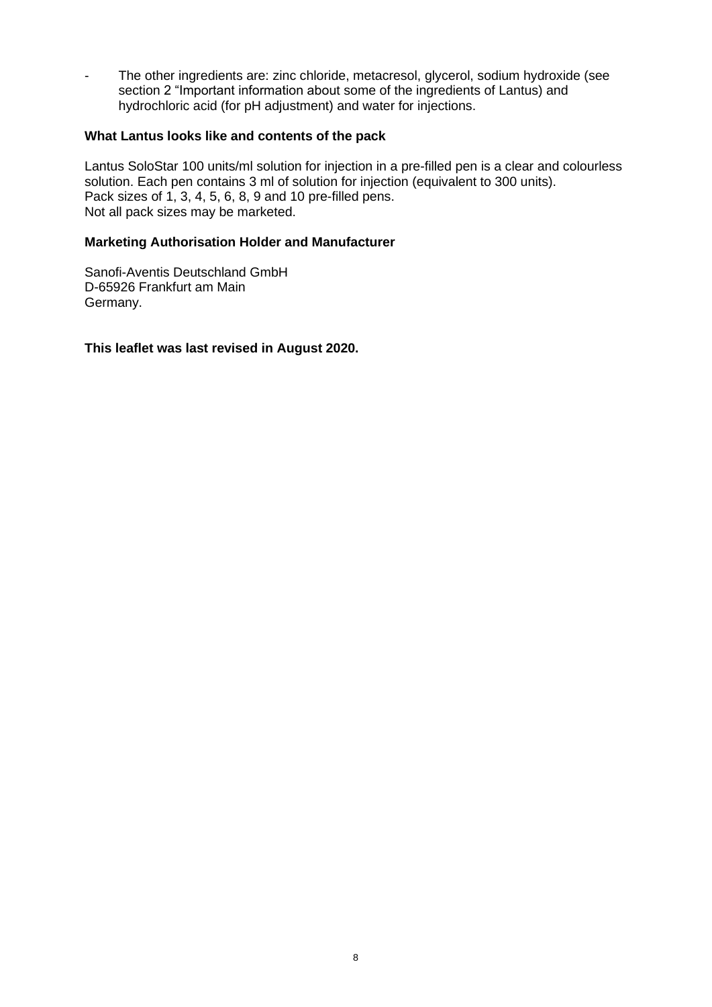- The other ingredients are: zinc chloride, metacresol, glycerol, sodium hydroxide (see section 2 "Important information about some of the ingredients of Lantus) and hydrochloric acid (for pH adjustment) and water for injections.

#### **What Lantus looks like and contents of the pack**

Lantus SoloStar 100 units/ml solution for injection in a pre-filled pen is a clear and colourless solution. Each pen contains 3 ml of solution for injection (equivalent to 300 units). Pack sizes of 1, 3, 4, 5, 6, 8, 9 and 10 pre-filled pens. Not all pack sizes may be marketed.

#### **Marketing Authorisation Holder and Manufacturer**

Sanofi-Aventis Deutschland GmbH D-65926 Frankfurt am Main Germany.

**This leaflet was last revised in August 2020.**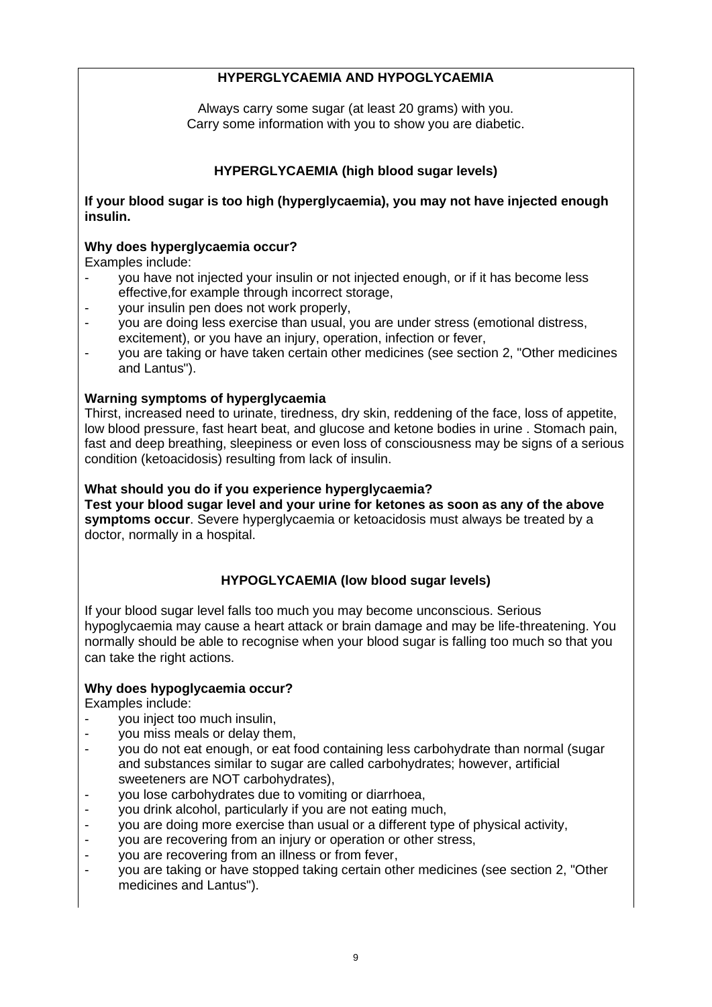## **HYPERGLYCAEMIA AND HYPOGLYCAEMIA**

Always carry some sugar (at least 20 grams) with you. Carry some information with you to show you are diabetic.

## **HYPERGLYCAEMIA (high blood sugar levels)**

**If your blood sugar is too high (hyperglycaemia), you may not have injected enough insulin.**

## **Why does hyperglycaemia occur?**

Examples include:

- you have not injected your insulin or not injected enough, or if it has become less effective,for example through incorrect storage,
- your insulin pen does not work properly,
- you are doing less exercise than usual, you are under stress (emotional distress, excitement), or you have an injury, operation, infection or fever,
- you are taking or have taken certain other medicines (see section 2, "Other medicines and Lantus").

## **Warning symptoms of hyperglycaemia**

Thirst, increased need to urinate, tiredness, dry skin, reddening of the face, loss of appetite, low blood pressure, fast heart beat, and glucose and ketone bodies in urine . Stomach pain, fast and deep breathing, sleepiness or even loss of consciousness may be signs of a serious condition (ketoacidosis) resulting from lack of insulin.

#### **What should you do if you experience hyperglycaemia?**

**Test your blood sugar level and your urine for ketones as soon as any of the above symptoms occur**. Severe hyperglycaemia or ketoacidosis must always be treated by a doctor, normally in a hospital.

## **HYPOGLYCAEMIA (low blood sugar levels)**

If your blood sugar level falls too much you may become unconscious. Serious hypoglycaemia may cause a heart attack or brain damage and may be life-threatening. You normally should be able to recognise when your blood sugar is falling too much so that you can take the right actions.

#### **Why does hypoglycaemia occur?**

Examples include:

- you inject too much insulin,
- you miss meals or delay them,
- you do not eat enough, or eat food containing less carbohydrate than normal (sugar and substances similar to sugar are called carbohydrates; however, artificial sweeteners are NOT carbohydrates),
- you lose carbohydrates due to vomiting or diarrhoea,
- you drink alcohol, particularly if you are not eating much,
- you are doing more exercise than usual or a different type of physical activity,
- you are recovering from an injury or operation or other stress,
- you are recovering from an illness or from fever,
- you are taking or have stopped taking certain other medicines (see section 2, "Other medicines and Lantus").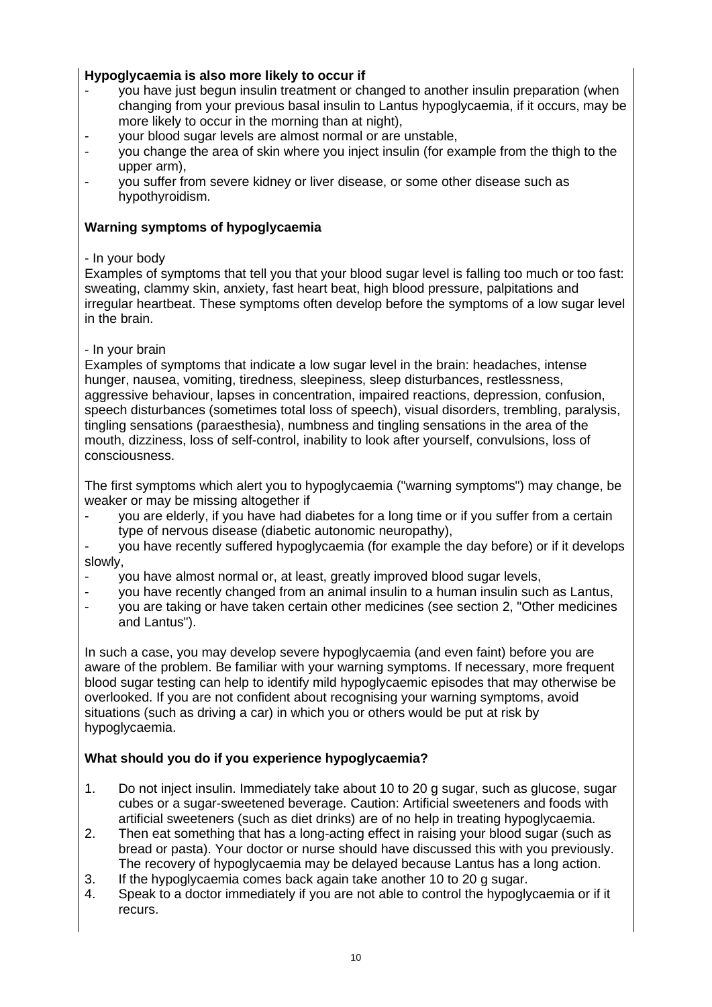## **Hypoglycaemia is also more likely to occur if**

- you have just begun insulin treatment or changed to another insulin preparation (when changing from your previous basal insulin to Lantus hypoglycaemia, if it occurs, may be more likely to occur in the morning than at night),
- your blood sugar levels are almost normal or are unstable,
- you change the area of skin where you inject insulin (for example from the thigh to the upper arm),
- you suffer from severe kidney or liver disease, or some other disease such as hypothyroidism.

## **Warning symptoms of hypoglycaemia**

### - In your body

Examples of symptoms that tell you that your blood sugar level is falling too much or too fast: sweating, clammy skin, anxiety, fast heart beat, high blood pressure, palpitations and irregular heartbeat. These symptoms often develop before the symptoms of a low sugar level in the brain.

## - In your brain

Examples of symptoms that indicate a low sugar level in the brain: headaches, intense hunger, nausea, vomiting, tiredness, sleepiness, sleep disturbances, restlessness, aggressive behaviour, lapses in concentration, impaired reactions, depression, confusion, speech disturbances (sometimes total loss of speech), visual disorders, trembling, paralysis, tingling sensations (paraesthesia), numbness and tingling sensations in the area of the mouth, dizziness, loss of self-control, inability to look after yourself, convulsions, loss of consciousness.

The first symptoms which alert you to hypoglycaemia ("warning symptoms") may change, be weaker or may be missing altogether if

- you are elderly, if you have had diabetes for a long time or if you suffer from a certain type of nervous disease (diabetic autonomic neuropathy),
- you have recently suffered hypoglycaemia (for example the day before) or if it develops slowly,
- you have almost normal or, at least, greatly improved blood sugar levels,
- you have recently changed from an animal insulin to a human insulin such as Lantus,
- you are taking or have taken certain other medicines (see section 2, "Other medicines and Lantus").

In such a case, you may develop severe hypoglycaemia (and even faint) before you are aware of the problem. Be familiar with your warning symptoms. If necessary, more frequent blood sugar testing can help to identify mild hypoglycaemic episodes that may otherwise be overlooked. If you are not confident about recognising your warning symptoms, avoid situations (such as driving a car) in which you or others would be put at risk by hypoglycaemia.

## **What should you do if you experience hypoglycaemia?**

- 1. Do not inject insulin. Immediately take about 10 to 20 g sugar, such as glucose, sugar cubes or a sugar-sweetened beverage. Caution: Artificial sweeteners and foods with artificial sweeteners (such as diet drinks) are of no help in treating hypoglycaemia.
- 2. Then eat something that has a long-acting effect in raising your blood sugar (such as bread or pasta). Your doctor or nurse should have discussed this with you previously. The recovery of hypoglycaemia may be delayed because Lantus has a long action.
- 3. If the hypoglycaemia comes back again take another 10 to 20 g sugar.
- 4. Speak to a doctor immediately if you are not able to control the hypoglycaemia or if it recurs.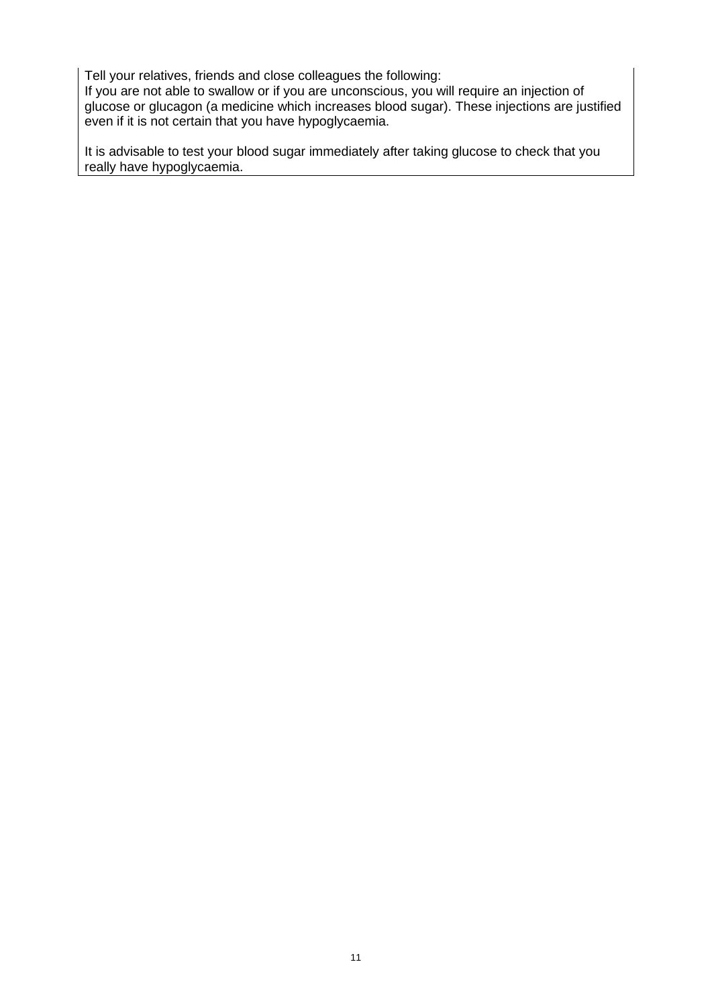Tell your relatives, friends and close colleagues the following:

If you are not able to swallow or if you are unconscious, you will require an injection of glucose or glucagon (a medicine which increases blood sugar). These injections are justified even if it is not certain that you have hypoglycaemia.

It is advisable to test your blood sugar immediately after taking glucose to check that you really have hypoglycaemia.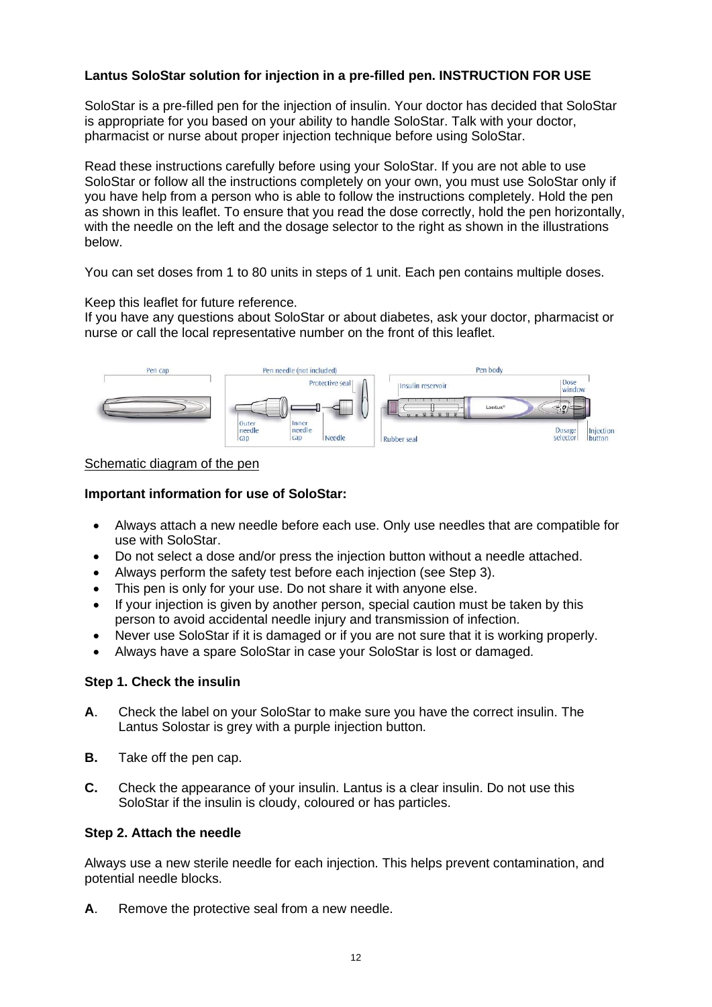## **Lantus SoloStar solution for injection in a pre-filled pen. INSTRUCTION FOR USE**

SoloStar is a pre-filled pen for the injection of insulin. Your doctor has decided that SoloStar is appropriate for you based on your ability to handle SoloStar. Talk with your doctor, pharmacist or nurse about proper injection technique before using SoloStar.

Read these instructions carefully before using your SoloStar. If you are not able to use SoloStar or follow all the instructions completely on your own, you must use SoloStar only if you have help from a person who is able to follow the instructions completely. Hold the pen as shown in this leaflet. To ensure that you read the dose correctly, hold the pen horizontally, with the needle on the left and the dosage selector to the right as shown in the illustrations below.

You can set doses from 1 to 80 units in steps of 1 unit. Each pen contains multiple doses.

#### Keep this leaflet for future reference.

If you have any questions about SoloStar or about diabetes, ask your doctor, pharmacist or nurse or call the local representative number on the front of this leaflet.



#### Schematic diagram of the pen

#### **Important information for use of SoloStar:**

- Always attach a new needle before each use. Only use needles that are compatible for use with SoloStar.
- Do not select a dose and/or press the injection button without a needle attached.
- Always perform the safety test before each injection (see Step 3).
- This pen is only for your use. Do not share it with anyone else.
- If your injection is given by another person, special caution must be taken by this person to avoid accidental needle injury and transmission of infection.
- Never use SoloStar if it is damaged or if you are not sure that it is working properly.
- Always have a spare SoloStar in case your SoloStar is lost or damaged.

#### **Step 1. Check the insulin**

- **A**. Check the label on your SoloStar to make sure you have the correct insulin. The Lantus Solostar is grey with a purple injection button.
- **B.** Take off the pen cap.
- **C.** Check the appearance of your insulin. Lantus is a clear insulin. Do not use this SoloStar if the insulin is cloudy, coloured or has particles.

#### **Step 2. Attach the needle**

Always use a new sterile needle for each injection. This helps prevent contamination, and potential needle blocks.

**A**. Remove the protective seal from a new needle.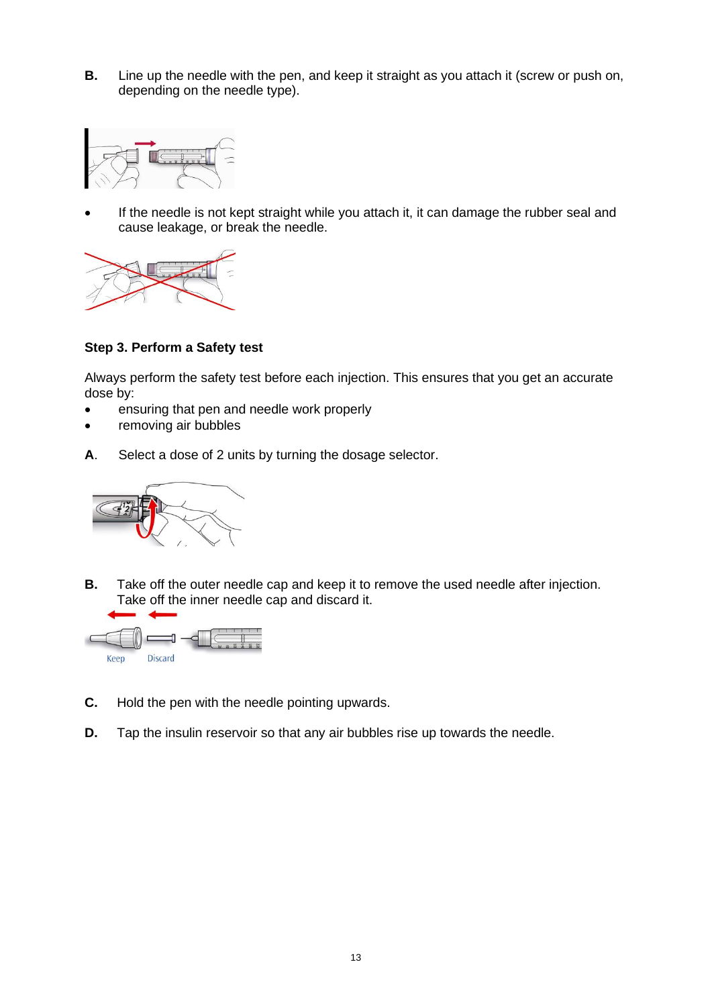**B.** Line up the needle with the pen, and keep it straight as you attach it (screw or push on, depending on the needle type).



If the needle is not kept straight while you attach it, it can damage the rubber seal and cause leakage, or break the needle.



**Step 3. Perform a Safety test** 

Always perform the safety test before each injection. This ensures that you get an accurate dose by:

- ensuring that pen and needle work properly
- removing air bubbles
- **A**. Select a dose of 2 units by turning the dosage selector.



**B.** Take off the outer needle cap and keep it to remove the used needle after injection. Take off the inner needle cap and discard it.



- **C.** Hold the pen with the needle pointing upwards.
- **D.** Tap the insulin reservoir so that any air bubbles rise up towards the needle.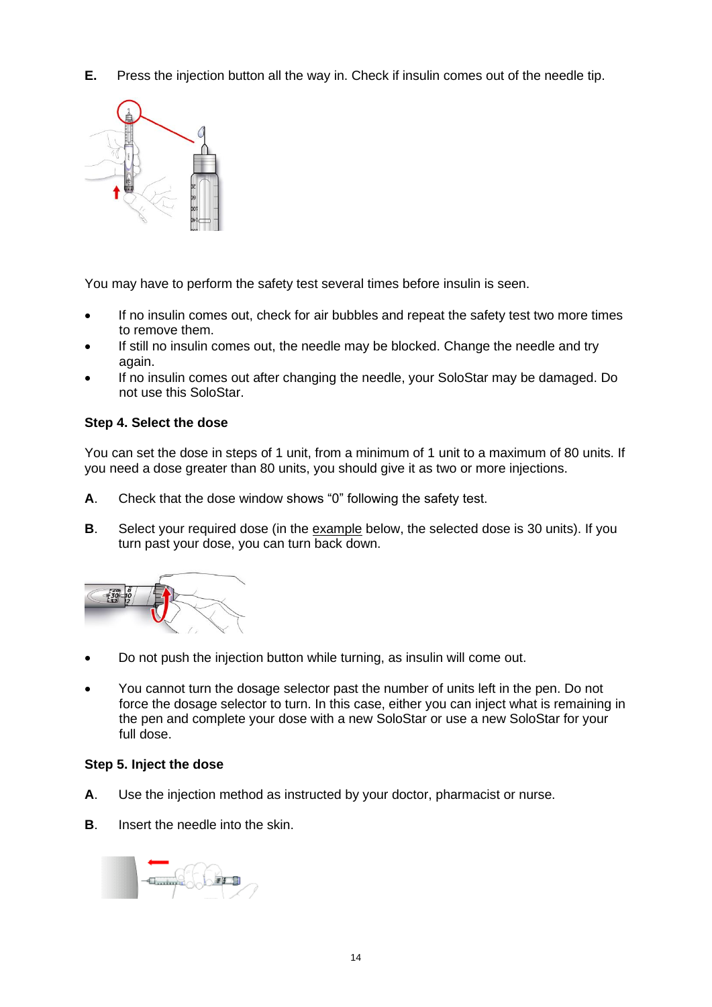**E.** Press the injection button all the way in. Check if insulin comes out of the needle tip.



You may have to perform the safety test several times before insulin is seen.

- If no insulin comes out, check for air bubbles and repeat the safety test two more times to remove them.
- If still no insulin comes out, the needle may be blocked. Change the needle and try again.
- If no insulin comes out after changing the needle, your SoloStar may be damaged. Do not use this SoloStar.

## **Step 4. Select the dose**

You can set the dose in steps of 1 unit, from a minimum of 1 unit to a maximum of 80 units. If you need a dose greater than 80 units, you should give it as two or more injections.

- **A**. Check that the dose window shows "0" following the safety test.
- **B**. Select your required dose (in the example below, the selected dose is 30 units). If you turn past your dose, you can turn back down.



- Do not push the injection button while turning, as insulin will come out.
- You cannot turn the dosage selector past the number of units left in the pen. Do not force the dosage selector to turn. In this case, either you can inject what is remaining in the pen and complete your dose with a new SoloStar or use a new SoloStar for your full dose.

#### **Step 5. Inject the dose**

- **A**. Use the injection method as instructed by your doctor, pharmacist or nurse.
- **B.** Insert the needle into the skin.

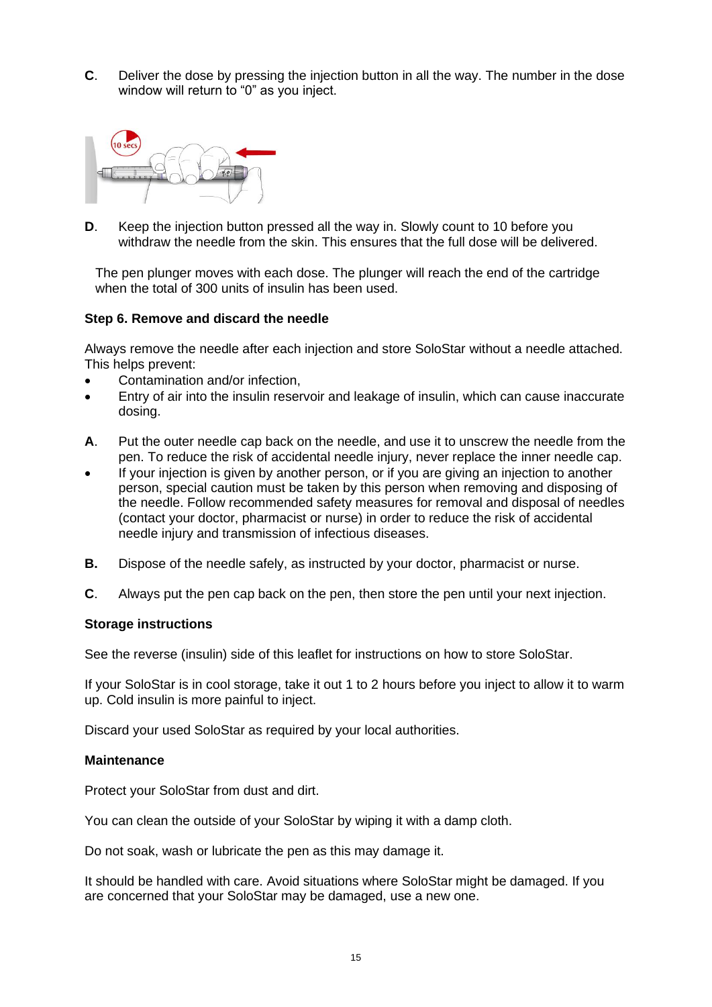**C**. Deliver the dose by pressing the injection button in all the way. The number in the dose window will return to "0" as you inject.



**D**. Keep the injection button pressed all the way in. Slowly count to 10 before you withdraw the needle from the skin. This ensures that the full dose will be delivered.

The pen plunger moves with each dose. The plunger will reach the end of the cartridge when the total of 300 units of insulin has been used.

#### **Step 6. Remove and discard the needle**

Always remove the needle after each injection and store SoloStar without a needle attached. This helps prevent:

- Contamination and/or infection,
- Entry of air into the insulin reservoir and leakage of insulin, which can cause inaccurate dosing.
- **A**. Put the outer needle cap back on the needle, and use it to unscrew the needle from the pen. To reduce the risk of accidental needle injury, never replace the inner needle cap.
- If your injection is given by another person, or if you are giving an injection to another person, special caution must be taken by this person when removing and disposing of the needle. Follow recommended safety measures for removal and disposal of needles (contact your doctor, pharmacist or nurse) in order to reduce the risk of accidental needle injury and transmission of infectious diseases.
- **B.** Dispose of the needle safely, as instructed by your doctor, pharmacist or nurse.
- **C**. Always put the pen cap back on the pen, then store the pen until your next injection.

#### **Storage instructions**

See the reverse (insulin) side of this leaflet for instructions on how to store SoloStar.

If your SoloStar is in cool storage, take it out 1 to 2 hours before you inject to allow it to warm up. Cold insulin is more painful to inject.

Discard your used SoloStar as required by your local authorities.

#### **Maintenance**

Protect your SoloStar from dust and dirt.

You can clean the outside of your SoloStar by wiping it with a damp cloth.

Do not soak, wash or lubricate the pen as this may damage it.

It should be handled with care. Avoid situations where SoloStar might be damaged. If you are concerned that your SoloStar may be damaged, use a new one.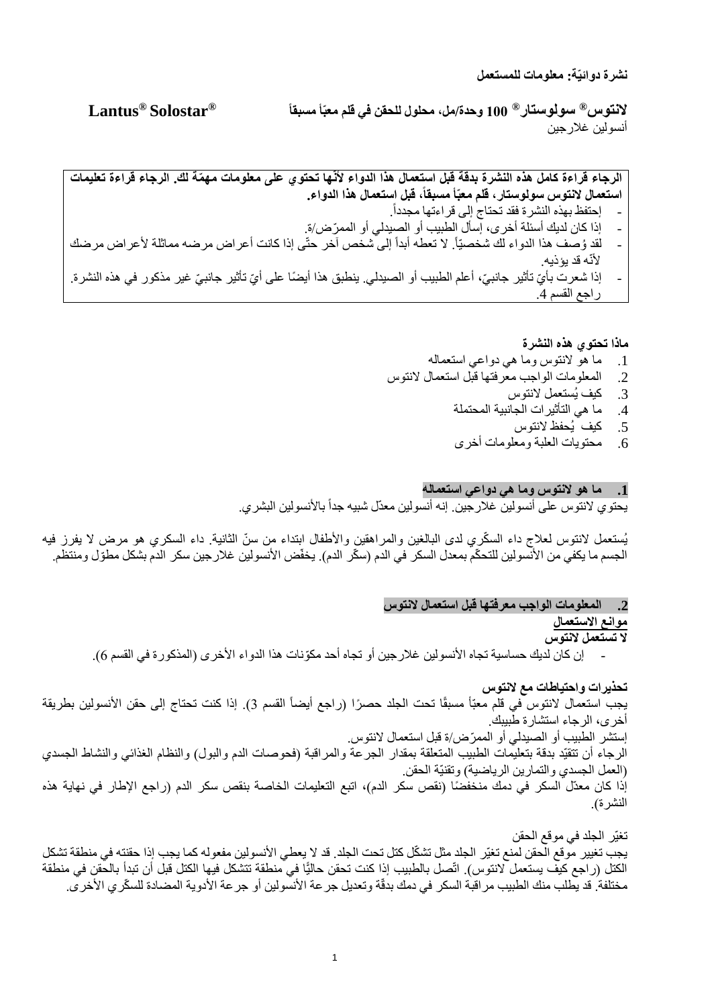**نشرة دوائيّة: معلومات للمستعمل**

**Lantus ® Solostar ® 100 وحدة/مل، محلول للحقن في قلم معبّأ مسبقا <sup>R</sup> سولوستار <sup>R</sup> النتوس** أنسولين غالرجين

**الرجاء قراءة كامل هذه النشرة بدقة قبل استعمال هذا الدواء ألنّها تحتوي على معلومات مه ّمة لك. الرجاء قراءة تعليمات استعمال النتوس سولوستار، قلم معبّأ مسبقا ، قبل استعمال هذا الدواء.** . - إحتفظ بهذه النشرة فقد تحتاج إلى قراءتها مجدداً - إذا كان لديك أسئلة أخرى، إسأل الطبيب أو الصيدلي أو الممّرض/ة. - لقد وُصف هذا الدواء لك شخصيّاً. لا تعطه أبداً إلى شخص آخر حتّى إذا كانت أعراض مرضه مماثلة لأعراض مرضك

لأنّه قد بؤذيه. - إذا شعرت بأيّ تأثير جانبيّ، أعلم الطبيب أو الصيدلي. ينطبق هذا أيضًا على أيّ تأثير جانبيّ غير مذكور في هذه النشرة. راجع القسم .4

#### **ماذا تحتوي هذه النشرة**

- .1 ما هو النتوس وما هي دواعي استعماله
- .2 المعلومات الواجب معرفتها قبل استعمال ال نتوس
	- .3 كيف يُستعمل النتوس
	- .4 ما هي التأثيرات الجانبية المحتملة
		- .5 كيف يُحفظ النتوس
	- .6 محتويات العلبة ومعلومات أخرى

#### **.1 ما هو النتوس وما هي دواعي استعماله**

يحتوي لانتوس على أنسولين غلارجين. إنه أنسولين معدّل شبيه جداً بالأنسولين البشري.

يُستعمل لانتوس لعلاج داء السكّري لدى البالغين والمراهقين والأطفال ابتداء من سنّ الثانية. داء السكري هو مرض لا يفرز فيه الجسم ما يكفي من الأنسولين للتحكّم بمعدل السكر في الدم (سكّر الدم). يخفّض الأنسولين غلار جين سكر الدم بشكل مطوّل ومنتظم.

## **.2 المعلومات الواجب معرفتها قبل استعمال النتوس**

## **موانع االستعمال**

**ال تستعمل النتوس** 

إن كان لديك حساسية تجاه الأنسولين غلار جين أو تجاه أحد مكوّنات هذا الدواء الأخرى (المذكورة في القسم 6).

**تحذيرات واحتياطات مع النتوس** يجب استعمال لانتوس في قلم معبّأ مسبقًا تحت الجلد حصرًا (راجع أيضاً القسم 3). إذا كنت تحتاج إلى حقن الأنسولين بطريقة أخرى، الرجاء استشارة طبيبك. إستشر الطبيب أو الصيدلي أو الممّرض/ة قبل استعمال النتوس. الرجاء أن تتقيّد بدقة بتعليمات الطبيب المتعلقة بمقدار الجرعة والمراقبة (فحوصات الدم والبول) والنظام الغذائي والنشاط الجسدي )العمل الجسدي والتمارين الرياضية( وتقنيّة الحقن. إذا كان معدّل السكر في دمك منخفضًا (نقص سكر الدم)، اتبع التعليمات الخاصة بنقص سكر الدم (راجع الإطار في نهاية هذه النشرة).

تغيّر الجلد في موقع الحقن يجب تغيير موقع الحقن لمنع تغيّر الجلد مثل تشكّل كتل تحت الجلد. قد لا يعطي الأنسولين مفعوله كما يجب إذا حقنته في منطقة تشكل الكتل (راجع كيف يستعمل لانتوس). اتّصل بالطبيب إذا كنت تحقن حاليًّا في منطقة تتشكل فيها الكتل قبل أن تبدأ بالحقن في منطقة مختلفة. قد يطلب منك الطبيب مر اقبة السكر في دمك بدقّة وتعديل جر عة الأنسولين أو جر عة الأدوية المضادة للسكّر ي الأخر ي.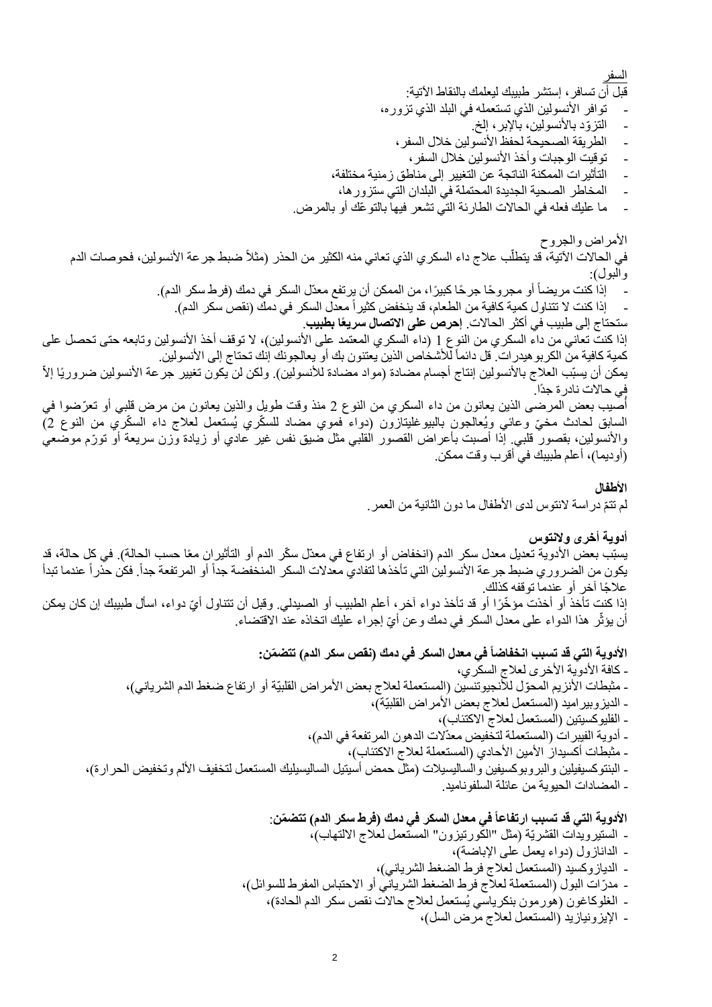السفر

قبل أن تسافر، إستشر طبيبك ليعلمك بالنقاط اآلتية:

- توافر الأنسولين الذي تستعمله في البلد الذي تزوره،
	- التزوّد بالأنسولين، بالإبر، إلخ.
	- الطريقة الصحيحة لحفظ الأنسولين خلال السفر ،
		- توقيت الوجبات وأخذ األنسولين خالل السفر،
- التأثيرات الممكنة الناتجة عن التغيير إلى مناطق زمنية مختلفة،
- المخاطر الصحية الجديدة المحتملة في البلدان التي ستزورها،
- ما عليك فعله في الحاالت الطارئة التي تشعر فيها بالتو ّعك أو بالمرض.

الأمراض والجروح في الحالات الآتية، قد يتطلّب علاج داء السكري الذي تعاني منه الكثير من الحذر (مثلاً ضبط جر عة الأنسولين، فحوصات الدم والبول): - إذا كنت مريضاً أو مجروحًا جرحًا كبيرًا، من الممكن أن يرتفع معدّل السكر في دمك (فرط سكر الدم). إذا كنت لا تتناول كمية كافية من الطعام، قد ينخفض كثيراً معدل السكر في دمك (نقص سكر الدم). ستحتاج إلى طبيب في أكثر الحاالت. **إحرص على االتصال سريع ا بطبيب**. إذا كنت تعاني من داء السكري من النوع 1 (داء السكري المعتمد على الأنسولين)، لا توقف أخذ الأنسولين وتابعه حتى تحصل على كمية كافية من الكربو هيدر ات. قل دائماً للأشخاص الذين يعتنون بك أو يعالجونك إنك تحتاج إلى الأنسولين. يمكن أن يسبّب العلاج بالأنسولين إنتاج أجسام مضادة (مواد مضادة للأنسولين). ولكن لن يكون تغيير جرعة الأنسولين ضروريًا إلاّ في حاالت نادرة جدًا. أصبيب بعض المرضـي الذين يعانون من داء السكري من النوع 2 منذ وقت طويل والذين يعانون من مرض قلبي أو تـعرّضوا في السابق لحادث مخيّ وعائي ويُعالجون بالبيوغليتازون (دواء فموي مضاد للسكّري يُستعمل لعلاج داء السكّري من النوع 2)

والأنسولين، بقصور قلبي. إذا أصبت بأعراض القصور القلبي مثل ضيق نفس غير عادي أو زيادة وزن سريعة أو تورّم موضعي (أوديما)، أعلم طبيبك في أقرب وقت ممكن.

#### **األطفال**

لم تتمّ دراسة لانتوس لدى الأطفال ما دون الثانية من العمر .

**أدوية أخرى والنتوس**  يسبّب بعض الأدوية تعديل معدل سكر الدم (انخفاض أو ارتفاع في معدّل سكّر الدم أو التأثيران معًا حسب الحالة). في كل حالة، قد يكون من الضروري ضبط جر عة الأنسولين التي تأخذها لتفادي معدلات السكر المنخفضة جداً أو المرتفعة جداً. فكن حذراً عندما تبدأ علاجًا آخر أو عندما توقفه كذلك. إذا كنتٍ تأخذ أو أخذت مؤخّرًا أو قد تأخذ دواء آخرٍ، أعلم الطبيب أو الصيدلي. وقبل أن تتناول أيّ دواء، اسأل طبيبك إن كان يمكن

أن يؤثِّر هذا الدواء على معدل السكر في دمك وعن أيِّ إجراء عليك اتخاذه عند الاقتضاء. ؘ

**األدوية التي قد تسبب انخفاضا في معدل السكر في دمك )نقص سكر الدم( تتض ّمن:** - كافة الأدوية الأخرى لعلاج السكري، - مثبطات الأنزيم المحوّل للأنجيوتنسين (المستعملة لعلاج بعض الأمر اض القلبيّة أو ارتفاع ضغط الدم الشرياني)، - الديزوبيراميد (المستعمل لعلاج بعض الأمراض القلبيّة)، - الفليوكسيتين )المستعمل لعالج االكتئاب(، - أدوية الفيبرات (المستعملة لتخفيض معدّلات الدهون المرتفعة في الدم)، - مثبطات أكسيداز الأمين الأحادي (المستعملة لعلاج الاكتئاب)، - البنتوكسيفيلين والبروبوكسيفين والساليسيلات (مثل حمض أسيتيل الساليسيليك المستعمل لتخفيف الألم وتخفيض الحرارة)، - المضادات الحيوية من عائلة السلفوناميد.

**األدوية التي قد تسبب ارتفاع ا في معدل السكر في دمك )فرط سكر الدم( تتض ّمن**: - الستيرويدات القشريّة )مثل "الكورتيزون" المستعمل لعالج االلتهاب(، - الدانازول )دواء يعمل على اإلباضة(، - الديازوكسيد )المستعمل لعالج فرط الضغط الشرياني(، - مد ّرات البول )المستعملة لعالج فرط الضغط الشرياني أو االحتباس المفرط للسوائل(، - الغلوكاغون )هورمون بنكرياسي يُستعمل لعالج حاالت نقص سكر الدم الحادة(، - اإليزونيازيد )المستعمل لعالج مرض السل(،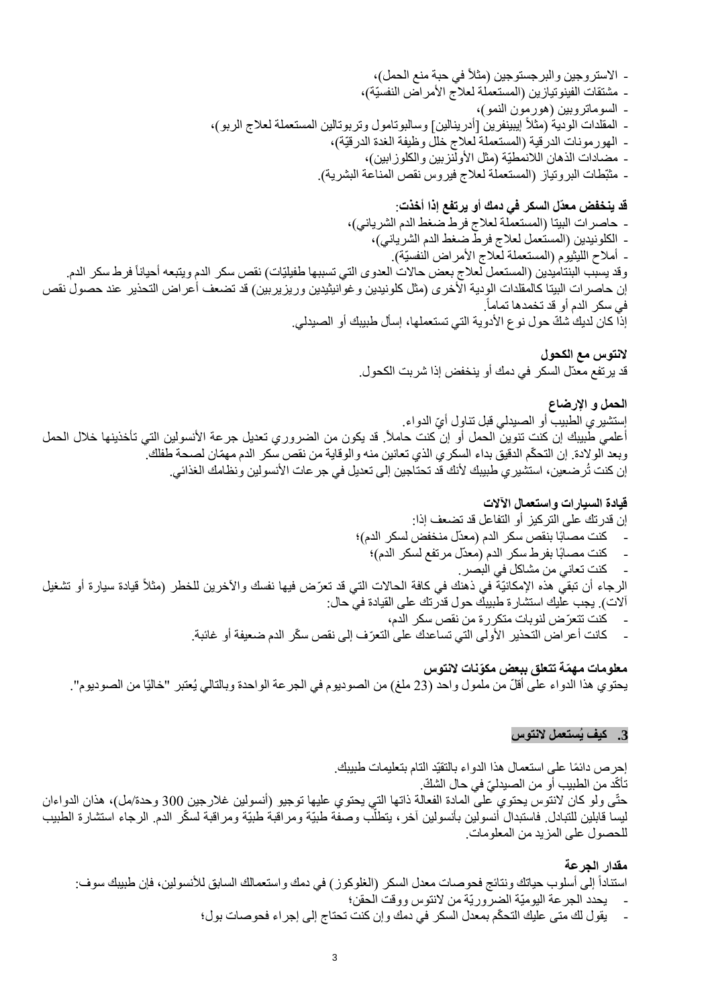- االستروجين والبرجستوجين )مثالً في حبة منع الحمل(، - مشتقات الفينوتيازين (المستعملة لعلاج الأمراض النفسيّة)، - السوماتروبين )هورمون النمو(، - المقلدات الودية (مثلاً إيبينفرين [أدرينالين] وسالبوتامول وتربوتالين المستعملة لعلاج الربو)، - الهورمونات الدرقية (المستعملة لعلاج خلل وظيفة الغدة الدرقيّة)، - مضادات الذهان اللانمطيّة (مثل الأولنزبين والكلوزابين)، - مثبّطات البروتياز (المستعملة لعلاج فيروس نقص المناعة البشرية).

**قد ينخفض معدّل السكر في دمك أو يرتفع إذا أخذت**: - حاصرات البيتا (المستعملة لعلاج فرط ضغط الدم الشرياني)، - الكلونيدين )المستعمل لعالج فرط ضغط الدم الشرياني(، - أملاح الليثيوم (المستعملة لعلاج الأمراض النفسيّة). وقد يسبب البنتاميدين (المستعمل لعلاج بعض حالات العدوى التي تسببها طفيليّات) نقص سكر الدم ويتبعه أحياناً فرط سكر الدم. إن حاصرات البيتا كالمقلدات الودية الأخرى (مثل كلونيدين وغوانيثيدين وريزيربين) قد تضعف أعراض التحذير عند حصول نقص . في سكر الدم أو قد تخمدها تماماً إذا كان لديك شكّ حول نوع الأدوية التي تستعملها، إسأل طبيبك أو الصيدلي.

> **النتوس مع الكحول** قد يرتفع معدّل السكر في دمك أو ينخفض إذا شربت الكحول.

**الحمل و اإلرضاع**  إِستشير ي الطبيب أو الصيدلي قبل تناوِل أيّ الدواء. أعلمي طبيبك إن كنت تنوين الحمل أو إن كنت حاملاً. قد يكون من الضروري تعديل جرعة الأنسولين التي تأخذينها خلال الحمل وبعد الولادة. إن التحكّم الدقيق بداء السكري الذي تعانين منه والوقاية من نقص سكر الدم مهمّان لصحة طفلك. إن كنت تُرضعين، استشير ي طبيبك لأنك قد تحتاجين إلى تعديل في جر عات الأنسولين ونظامك الغذائي.

**قيادة السيارات واستعمال اآلالت** إن قدرتك على التركيز أو التفاعل قد تضعف إذا: - كنت مصابًا بنقص سكر الدم )معدّل منخفض لسكر الدم(؛ - كنت مصابًا بفرط سكر الدم )معدّل مرتفع لسكر الدم(؛ - كنت تعاني من مشاكل في البصر. قيادة سيارة أو تشغي ل الرجاء أن تبقي هذه اإلمكانيّة في ذهنك في كافة الحاالت التي قد تعّرض فيها نفسك واآلخرين للخطر )مثالً آالت(. يجب عليك استشارة طبيبك حول قدرتك على القيادة في حال: - كنت تتعّرض لنوبات متكررة من نقص سكر الدم، - كانت أعراض التحذير األولى التي تساعدك على التعّرف إلى نقص س ّكر الدم ضعيفة أو غائبة.

**معلومات مه ّمة تتعلق ببعض مكّونات النتوس** يحتوي هذا الدواء على أقلّ من ملمول واحد (23 ملغ) من الصوديوم في الجرعة الواحدة وبالتالي يُعتبر "خاليًا من الصوديوم".

#### **.3 كيف يُستعمل النتوس**

إحر ص دائمًا على استعمال هذا الدواء بالتقيّد التام بتعليمات طبيبك. تأكّد من الطبيب أو من الصيدليّ في حال الشكّ. حتّى ولو كان لانتوس يحتوي على المادة الفعالة ذاتها التي يحتوي عليها توجيو (أنسولين غلارجين 300 وحدة/مل)، هذان الدواءان ليسا قابلين للتبادل فاستبدال أنسولين بأنسولين آخر ، يتطلّب وصفّة طبيّة ومراقبةٌ طبيّة ومراقبة لسكّر الدم. الرجاء استشارة الطبيب للحصول على المزيد من المعلومات.

**مقدار الجرعة**  استناداً إلى أسلوب حياتك ونتائج فحوصات معدل السكر (الغلوكوز) في دمك واستعمالك السابق للأنسولين، فإن طبيبك سوف: - يحدد الجرعة اليوميّة الضروريّة من النتوس ووقت الحقن؛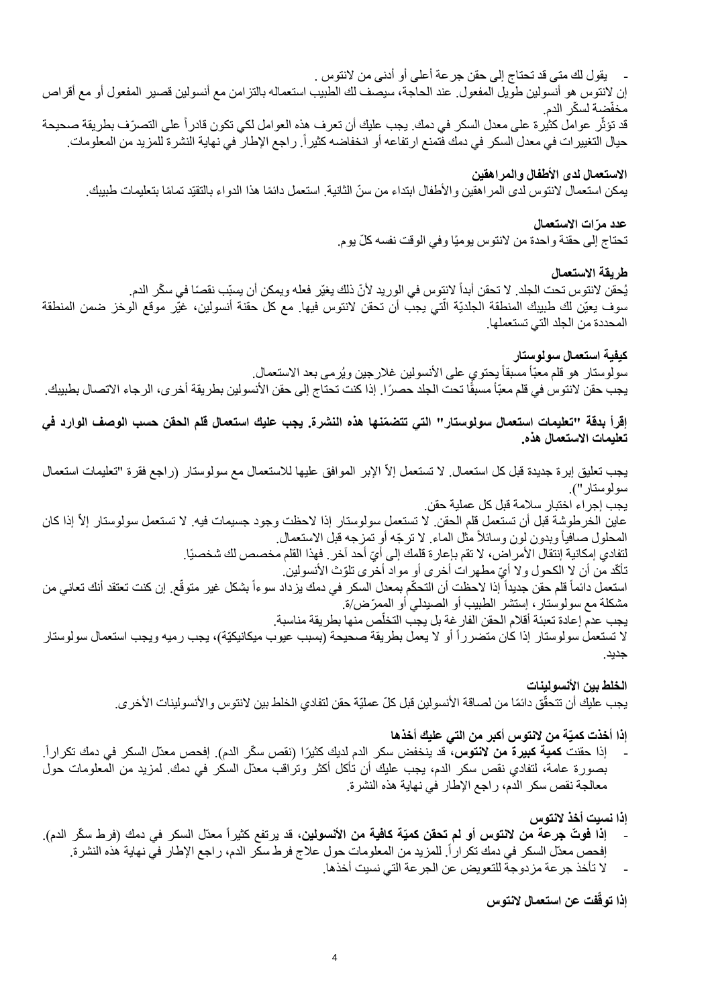## - يقول لك متى قد تحتاج إلى حقن جرعة أعلى أو أدنى من النتوس . إن النتوس هو أنسولين طويل المفعول. عند الحاجة، سيصف لك الطبيب استعماله بالتزامن مع أنسولين قصير المفعول أو مع أقراص مخفّضة لسكّر الدم. قد تؤثّر عوامل كثيرة على معدل السكر في دمك. يجب عليك أن تعرف هذه العوامل لكي تكون قادراً على التصرّف بطريقة صحيحة حيال التغيير ات في معدل السكر في دمك فتمنع ارتفاعه أو انخفاضه كثيراً. راجع الإطار في نهاية النشرة للمزيد من المعلومات.

#### **االستعمال لدى األطفال والمراهقين**

يمكن استعمال لانتوس لدى المر اهقين والأطفال ابتداء من سنّ الثانية. استعمل دائمًا هذا الدواء بالتقيّد تمامًا بتعليمات طبيبك.

## **عدد م ّرات االستعمال**

تحتاج إلى حقنة واحدة من لانتوس يوميًا وفي الوقت نفسه كلّ يوم.

## **طريقة االستعمال**

يُحقن لانتوس تحت الجلد. لا تحقن أبداً لانتوس في الوريد لأنّ ذلك يغيّر فعله ويمكن أن يسبّب نقصًا في سكّر الدم. سوف يعيّن لك طبيبك المنطقة الجلديّة الّتي يجب أن تحقن لانتوس فيها. مع كل حقنة أنسولين، غيّر موقع الوخز ضمن المنطقة أ المحددة من الجلد التي تستعملها.

**كيفية استعمال سولوستار**  سولوستار هو قلم معبّأ مسبقاً يحتوي على الأنسولين غلارجين ويُرمى بعد الاستعمال. يجب حقن لانتوس في قلم معبّأ مسبقًا تحت الجلد حصرًا. إذا كنت تحتاج إلى حقن الأنسولين بطريقة أخرى، الرجاء الاتصال بطبيبك.

**إقرأ بدقة "تعليمات استعمال سولوستار" التي تتض ّمنها هذه النشرة. يجب عليك استعمال قلم الحقن حسب الوصف الوارد في تعليمات االستعمال هذه.** 

يجب تعليق إبرة جديدة قبل كل استعمال. لا تستعمل إلاّ الإبر الموافق عليها للاستعمال مع سولوستار (راجع فقرة "تعليمات استعمال سولوستار"). يجب إجراء اختبار سالمة قبل كل عملية حقن. عاين الخرطوشة قبل أن تستعمل قلم الحقن. لا تستعمل سولوستار إذا لاحظت وجود جسيمات فيه. لا تستعمل سولوستار إلاّ إذا كان المحلول صافياً وبدون لون وسائلاً مثل الماء. لا ترجّه أو تمزجه قبل الاستعمال. لتفادي إمكانية إنتقال الأمر اض، لا تقم بإعار ة قلمك إلى أيّ أحد آخر . فهذا القلم مخصص لك شخصيًا. نَاكّد من أن لاٍ الكحول ولا أيِّ مطهرات أخرى أو مواد أخرى تلوّث الأنسولين. استعمل دائماً قلم حقن جديداً إذا لاحظت أن التحكّم بمعدل السكر في دمك يزداد سوءاً بشكل غير متوقّع. إن كنت تعتقد أنك تعاني من مشكلة مع سولوستار، إستشر الطبيب أو الصيدلي أو الممّرض/ة. ֖֖֚֚֚֚֡<br>֧֧ يجب عدم إعادة تعبئة أقلام الحقن الفار غة بل يجب التخلص منها بطريقة مناسبة. لا تستعمل سولوستار إذا كان متضرراً أو لا يعمل بطريقة صحيحة (بسبب عيوب ميكانيكيّة)، يجب رميه ويجب استعمال سولوستار جديد.

> الخلط بي*ن* الأنسولينات يجب عليك أن تتحقّق دائمًا من لصاقة الأنسولين قبل كلّ عمليّة حقن لتفادي الخلط بين لانتوس و الأنسولينات الأخر ي.

> > **إذا أخذت كميّة من النتوس أكبر من التي عليك أخذها**

- إذا حقنت **كمية كبيرة من لانتوس،** قد ينخفض سكر الدم لديك كثيرًا (نقص سكّر الدم). إفحص معدّل السكر في دمك تكراراً. بصورة عامة، لتفادي نقص سكر الدم، يجب عليك أن تأكل أكثر وتراقب معدّل السكر في دمك. لمزيد من المعلومات حول معالجة نقص سكر الدم، راجع اإلطار في نهاية هذه النشرة.

**إذا نسيت أخذ النتوس**

- إ**ذا فوتّ جرعة من لانتوس أو لم <b>تحقن كميّة كافية من الأنسولين**، قد يرتفع كثيراً معدّل السكر في دمك (فرط سكّر الدم). إفحص معدّل السكر في دمك تكر اراً. للمزيد من المعلومات حول علاج فرط سكّر الدم، ر اجع الإطار في نهاية هذه النشرة.
	- ال تأخذ جرعة مزدوجة للتعويض عن الجرعة التي نسيت أخذها.

**فت عن استعمال النتوس إذا توقّ**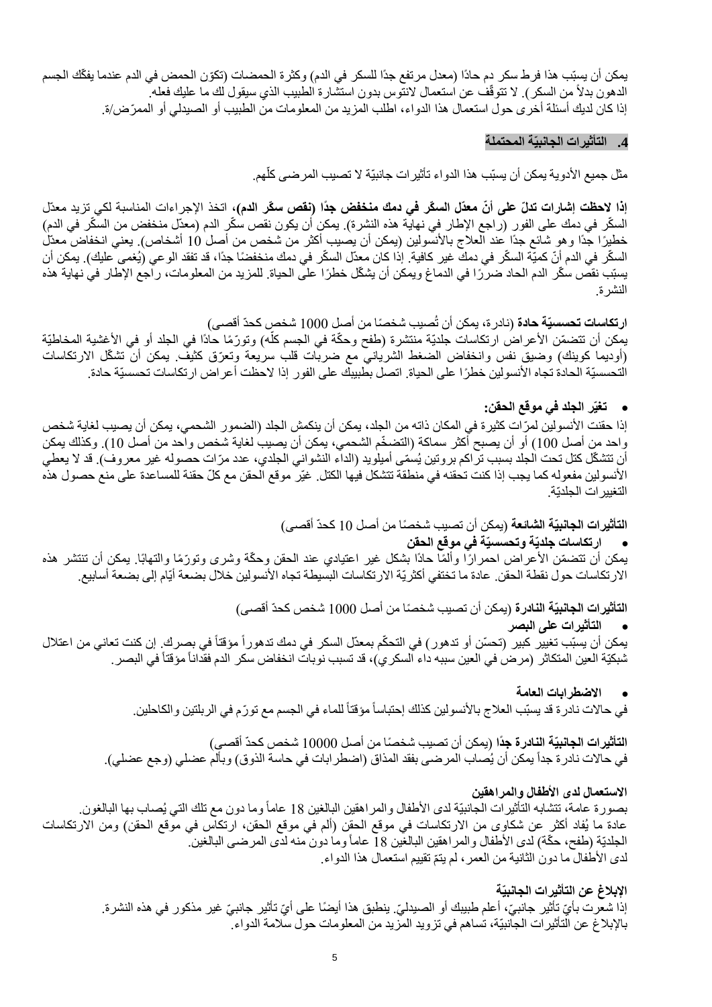يمكن أن يسبّب هذا فرط سكر دم حادًا (معدل مرتفع جدًا للسكر في الدم) وكثرة الحمضات (تكوّن الحمض في الدم عندما يفكّك الجسم الدهون بدلأ من السكر ). لا نتوقّف عن استعمال لانتّوس بدون استشارة الطبيب الذي سيقول لك ما عليك فعله. إذا كان لديك أسئلة أخرى حول استعمال هذا الدواء، اطلب المزيد من المعلومات من الطبيب أو الصيدلي أو الممّرض/ة.

#### **.4 التأثيرات الجانبيّة المحتملة**

֖֖֖֖֖֖֖֖֚֚֚֚֚֚֚֚֚֚֡֬<br>֧֪֪֪֝֩ مثل جميع الأدوية يمكن أن يسبّب هذا الدواء تأثيرات جانبيّة لا تصبيب المرضى كلهم.

إ**ذا لاحظت إشارات تدلّ على أنّ معدّل السكّر في دمك منخفض جدًا (نقص سكّر الدم)،** اتخذ الإجراءات المناسبة لكي تزيد معدّل السكّر في دمك على الفور (راجع الإطار في نهاية هذه النشرة). يمكن أن يكون نقص سكّر الدم (معدّل منخفض من السكّر في الدم) خطيرًا جدًا وهو شائع جدًا عند العلاج بالأنسولين (يمكن أن يصيب أكثر من شخص من أصل 10 أشخاص). يعني انخفاض معدّل السكّر في الدم أنّ كميّة السكّر في دمك غير كافية. إذا كان معدّل السكّر في دمك منخفضًا جدًا، قد تفقد الوعي (يُغمى عليك). يمكن أن يسبّب نقصٌ سكّر الدم الحاد ضرّرًا في الدماغ ويمكن أن يشكّل خطرًا على الحياة. للمزيد من المعلومات، راجع الإطار في نهاية هذه النشرة.

ا**رتكاسات تحسسيّة حادة** (نادرة، يمكن أن تُصيب شخصًا من أصل 1000 شخص كحدّ أقصى) يمكن أن تتضمّن الأعراض ارتكاسات جلديّة منتشرة (طفح وحكّة في الجسم كلّه) وتورّمًا حادًا في الجلد أو في الأغشية المخاطيّة ľ (أوديما كوينك) وضيق نفس وانخفاض الضغط الشرياني مع ضربات قلب سريعة وتعرّق كثيف. يمكن أن تشكّل الارتكاسات التحسسيّة الحادة تجاه الأنسولين خطرًا على الحياة. اتصل بطبيبك على الفور إذا لاحظت أعراض ارتكاسات تحسسيّة حادة.

#### • **تغيّر الجلد في موقع الحقن:**

إذا حقنت األنسولين لمّرات كثيرة في المكان ذاته من الجلد، يمكن أن ينكمش الجلد )الضمور الشحمي، يمكن أن يصيب لغاية شخص واحد من أصل 100) أو أن يصبح أكثر سماكة (التضخّم الشحمي، يمكن أن يصيب لغاية شخص واحد من أصل 10). وكذلك يمكن أن تتشكّل كتل تحت الجلد بسبب تراكم بروتين يُسمّى أميلويد (الداء النشواني الجلدي، عدد مرّات حصوله غير معروف). قد لا يعطي الأنسولين مفعوله كما يجب إذا كنت تحقنه في منطقة تتشكل فيها الكتل. غيّر موقع الحقن مع كلّ حقنة للمساعدة على منع حصول هذه التغييرات الجلديّة.

ا**لتأثيرات الجانبيّة الشائعة** (يمكن أن تصيب شخصًا من أصل 10 كحدّ أقصى)

• **ارتكاسات ج لديّة وتحسسيّة في موقع الحقن** يمكن أن تتضمّن الأعراض احمر ارًا وألمًا حادًا بشكل غير اعتيادي عند الحقن وحكّة وشرى وتورّمًا والتهابًا. يمكن أن تنتشر هذه الارتكاسات حول نقطة الحقن. عادة ما تختفي أكثريّة الارتكاسات البسيطة تجاه الأنسولين خلال بضعة أيّام إلى بضعة أسابيع.

> ا**لتأثير ات الجانبيّة النادرة** (يمكن أن تصيب شخصًا من أصل 1000 شخص كحدّ أقصى) • **التأثيرات على البصر**

يمكن أن يسبّب تغيير كبير (تحسّن أو تدهور ) في التحكّم بمعدّل السكر في دمك تدهور أ مؤقتاً في بصرك. إن كنت تعاني من اعتلال شبكيّة العين المتكاثر (مرض في العين سببه داء السكري)، قد تسبب نوبات انخفاض سكر الدم فقداناً مؤقتاً في البصر.

#### • **االضطرابات العامة**

في حالات نادرة قد يسبّب العلاج بالأنسولين كذلك إحتباساً مؤقتاً للماء في الجسم مع تورّم في الربلتين والكاحلين.

ا**لتأثيرات الجانبيّة النادرة جدً**ا (يمكن أن تصيب شخصًا من أصل 10000 شخص كحدّ أقصى) في حالات نادرة جداً يمكن أن يُصاب المرضىي بفقد المذاق (اضطرابات في حاسة الذوق) وبألم عضلي (وجع عضلي).

#### **االستعمال لدى األطفال والمراهقين**

بصورة عامة، تتشابه التأثيرات الجانبيّة لدى الأطفال والمراهقين البالغين 18 عاماً وما دون مع تلك التي يُصـاب بها البالغون. عادة ما يُفاد أكثر عن شكاوى من الارتكاسات في موقع الحقن (ألم في موقع الحقن، ارتكاس في موقع الحقن) ومن الارتكاسات الجلديّة (طفح، حكّة) لدى الأطفال والمراهقين البالغَين 18 عاماً وما دون منه لدّى المرضى البالغين. لدى الأطفال ما دون الثانية من العمر ، لم يتمّ نقييم استعمال هذا الدواء.

#### **اإلبالغ عن التأثيرات الجانبيّة**

إذا شعرت بأيّ تأثير جانبيّ، أعلم طبيبك أو الصيدليّ. ينطبق هذا أيضًا على أيّ تأثير جانبيّ غير مذكور في هذه النشرة. باإلبالغ عن التأثيرات الجانبيّة، تساهم في تزويد المزيد من المعلومات حول سالمة الدواء.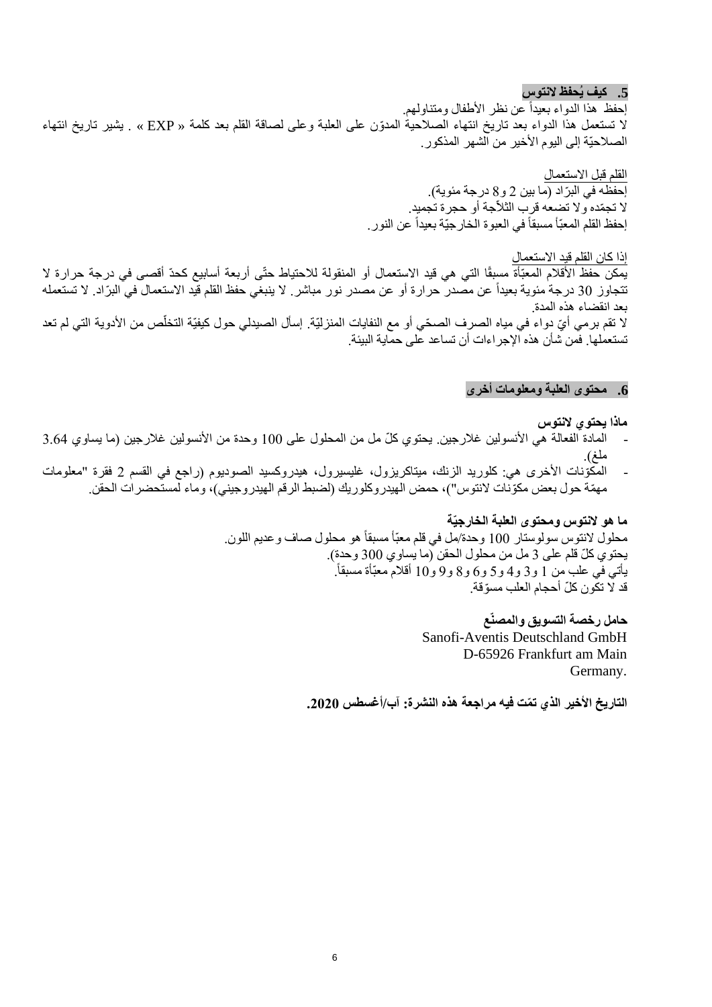**.5 كيف يُحفظ النتوس** إحفظ هذا الدواء بعيداً عن نظر الأطفال ومتناولهم. ال تستعمل هذا الدواء بعد تاريخ انتهاء الصالحية المدّون على العلبة وعلى لصاقة القلم بعد كلمة « EXP « . يشير تاريخ انتهاء الصالحيّة إلى اليوم األخير من الشهر المذكور.

> القلم قبل االستعمال إحفظه في البرّاد (ما بين 2 و8 درجة مئوية). ال تج ّمده وال تضعه قرب الثالّجة أو حجرة تجميد. إحفظ القلم المعبّأ مسبقاً في العبوة الخارجيّة بعيداً عن النور .

إذا كان القلم قيد االستعمال يمكن حفظ الأقلام المعبّأة مسبقًا التي هي قيد الاستعمال أو المنقولة للاحتياط حتّى أربعة أسابيع كحدّ أقصى في درجة حرارة لا تتجاوز 30 درجة مئوية بعيداً عن مصدر حرارة أو عن مصدر نور مباشر. لا ينبغي حفظ القلم قيد الاستعمال في البرّاد. لا تستعمله بعد انقضاء هذه المدة. لا تقم برمي أيّ دواء في مياه الصرف الصحّي أو مع النفايات المنزليّة. إسأل الصيدلي حول كيفيّة التخلّص من الأدوية التي لم تعد تستعملها. فمن شأن هذه اإلجراءات أن تساعد على حماية البيئة.

#### **.6 محتوى العلبة ومعلومات أخرى**

#### **ماذا يحتوي النتوس**

- المادة الفعالة هي الأنسولين غلارجين. يحتوي كلّ مل من المحلول على 100 وحدة من الأنسولين غلارجين (ما يساوي 3.64 ملغ(.
- المكّوّنات الأخرى هي: كلوريد الزنك، ميتاكريزول، غليسيرول، هيدروكسيد الصوديوم (راجع في القسم 2 فقرة "معلومات مهمّة حول بعض مكوّنات لانتوس")، حمض الهيدروكلوريك (لضبط الرقم الهيدروجيني)، وماء لمستحضرات الحقن.

## **ما هو النتوس ومحتوى العلبة الخارجيّة**

محلول النتوس سولوستار 100 وحدة/مل في قلم معبّأ مسبقاً هو محلول صاف وعديم اللون. يحتوي كلّ قلم على 3 مل من محلول الحقن (ما يساوي 300 وحدة). يأتي في علب من 1 و3 و4 و5 و6 و8 و9 و10 أقلام معبّأة مسبقاً. قد لا تكون كلّ أحجام العلب مسوّقة.

**حامل رخصة التسويق والمصنّع**

Sanofi-Aventis Deutschland GmbH D-65926 Frankfurt am Main Germany.

**التاريخ األخير الذي ت ّمت فيه مراجعة هذه النشرة: آب/أغسطس .2020**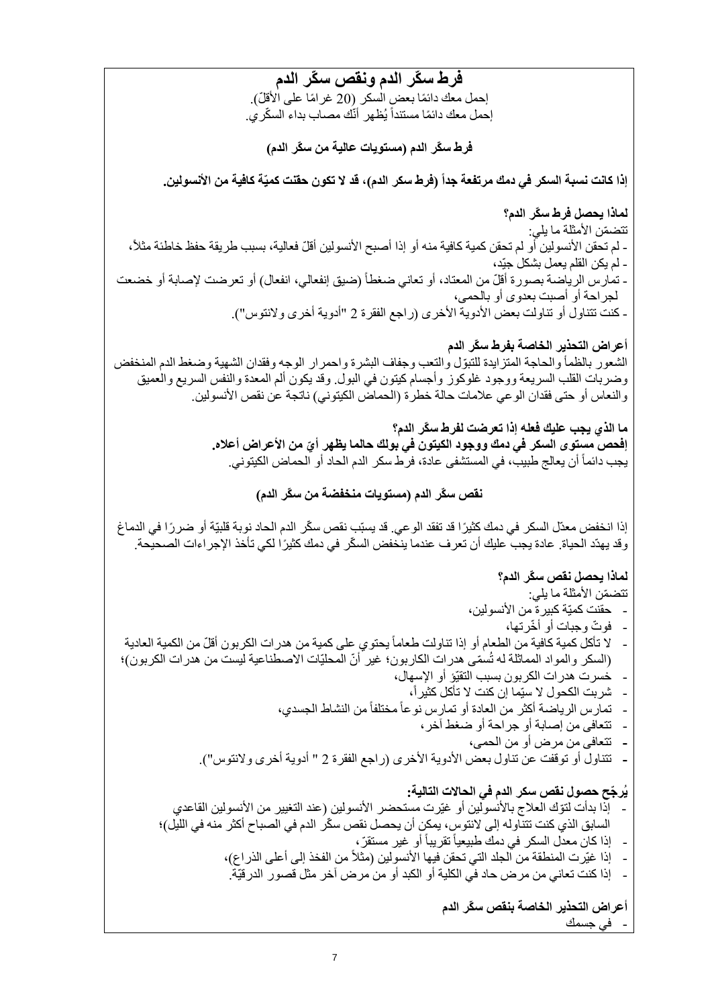**فرط س ّكر الدم ونقص س ّكر الدم** إحمل معك دائمًا بعض السكر (20 غرامًا على الأقلّ). إحمل معك دائمًا مستنداً يُظهر أنّك مصـاب بداء السكّري. **فرط س ّكر الدم )مستويات عالية من س ّكر الدم( إذا كانت نسبة السكر في دمك مرتفعة جدا )فرط سكر الدم(، قد ال تكون حقنت كميّة كافية من األنسولين. لماذا يحصل فرط س ّكر الدم؟** تتضمّن الأمثلة ما يلي: - لم تحقن الأنسولين أو لم تحقن كمية كافية منه أو إذا أصبح الأنسولين أقلّ فعالية، بسبب طريقة حفظ خاطئة مثلاً، - لم يكن القلم يعمل بشكل جيّد، - تمارس الرياضة بصورة أقلّ من المعتاد، أو تعاني ضغطاً (ضيق إنفعالي، انفعال) أو تعرضت لإصابة أو خضعت لجراحة أو أصبت بعدوى أو بالحمى، - كنت تتناول أو تناولت بعض الأدوية الأخرى (راجع الفقرة 2 "أدوية أخرى ولانتوس"). **أعراض التحذير الخاصة بفرط س ّكر الدم** الشعور بالظمأ والحاجة المتز ايدة للتبوّل والتعب وجفاف البشرة واحمرار الوجه وفقدان الشهية وضغط الدم المنخفض وضربات القلب السريعة ووجود غلوكوز وأجسام كيتون في البول. وقد يكون ألم المعدة والنفس السريع والعميق والنعاس أو حتى فقدان الوعي علامات حالة خطرة (الحماض الكيتوني) ناتجة عن نقص الأنسولين. **ما الذي يجب عليك فعله إذا تعرضت لفرط س ّكر الدم؟ ّي من األ إفحص مستوى السكر في دمك ووجود الكيتون في بولك حالما يظهر أ عراض أعاله.**  يجب دائماً أن يعالج طبيب، في المستشفى عادة، فرك سكر الدم الحاد أو الحماض الكيتوني. **نقص س ّكر الدم )مستويات منخفضة من س ّكر الدم(** إذا انخفض معدّل السكر في دمك كثيرًا قد تفقد الو عي. قد يسبّب نقص سكّر الدم الحاد نوبة قلبيّة أو ضر رًا في الدماغ وقد يهدّد الحياة. عادة يجب عليك أن تعرف عندما ينخفض السكّر في دمك كثيرًا لكي تأخذ الإجراءات الصحيحة. **لماذا يحصل نقص س ّكر الدم؟** تتضمّن الأمثلة ما يلي: - حقنت كميّة كبيرة من األنسولين، - فو ّت وجبات أو أ ّخرتها، - لا تأكل كمية كافية من الطعام أو إذا تناولت طعاماً يحتوي على كمية من هدرات الكربون أقلّ من الكمية العادية (السكر والمواد المماثلة له تُسمّى هدرات الكاربون؛ غير أنّ المحليّات الاصطناعية ليست من هدرات الكربون)؛ - خسرت هدرات الكربون بسبب التقيّؤ أو اإلسهال، - شربت الكحول ال سيّما إن كنت ال تأكل كثيرا،ً - تمارس الرياضة أكثر من العادة أو تمارس نوعاًمختلفاًمن النشاط الجسدي، - تتعافى من إصابة أو جراحة أو ضغط آخر، **-** تتعافى من مرض أو من الحمى، **-** تتناول أو توقفت عن تناول ب عض األدوية األخرى )راجع الفقرة 2 " أدوية أخرى والنتوس"(. **يُر ّجح حصول نقص سكر الدم في الحاالت التالية:** إذا بدأت لتوّك العلاج بالأنسولين أو غيّرت مستحضر الأنسولين (عند التغيير من الأنسولين القاعدي السابق الذي كنت تتناوله إلى لانتوس، يمكن أن يحصل نقص سكّر الدم في الصباح أكثر منه في الليل)؛ - إذا كان معدل السكر في دمك طبيعياً تقريباً أو غير مستقرّ ، إذا غيّرت المنطقة من الجلد التي تحقن فيها الأنسولين (مثلاً من الفخذ إلى أعلى الذراع)، - إذا كنت تعاني من مرض حاد في الكلية أو الكبد أو من مرض آخر مثل قصور الدرقيّة. **أعراض التحذير الخاصة بنقص س ّكر الدم** - في جسمك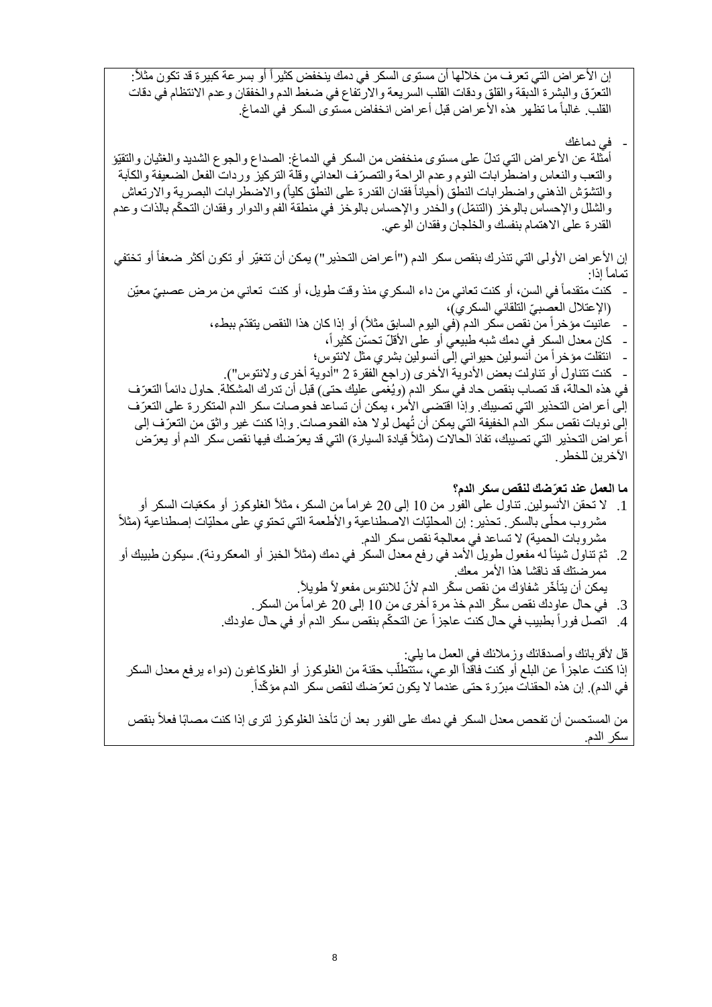إن الأعراض التي تعرف من خلالها أن مستوى السكر في دمك ينخفض كثيراً أو بسر عة كبيرة قد تكون مثلاً: التعّرق والبشرة الدبقة والقلق ودقات القلب السريعة واالرتفاع في ضغط الدم والخفقان وعدم االنتظام في دقات القلب. غالباً ما تظهر هذه الأعراض قبل أعراض انخفاض مستوى السكر في الدماغ.

في دماغك

أمثلة عن الأعراض التي تدلّ على مستوى منخفض من السكر في الدماغ: الصداع والجوع الشديد والغثيان والتقيّؤ والتعب والنعاس واضطرابات النوم وعدم الراحة والتصرّف العدائي وقلة التركيز وردات الفعل الضعيفة والكآبة والتشوّش الذهني واضطرابات النطق (أحياناً فقدان القدرة على النطق كلياً) والاضطرابات البصرية والارتعاش والشلل والإحساس بالوخز (التنمّل) والخدر والإحساس بالوخز في منطقة الفم والدوار وفقدان التحكّم بالذات وعدم القدرة على االهتمام بنفسك والخلجان وفقدان الوعي.

إن الأعراض الأولى التي تنذرك بنقص سكر الدم ("أعراض التحذير ") يمكن أن تتغيّر أو تكون أكثر ضعفاً أو تختفي إذا: تماماً

- كنت متقدماً في السن، أو كنت تعاني من داء السكري منذ وقت طويل، أو كنت تعاني من مرض عصبيّ معيّن (الإعتلال العصبيّ التلقائي السكري)،
	- عانيت مؤخر أ من نقص سكر الدم (في اليو م السابق مثلاً) أو إذا كان هذا النقص يتقدّم ببطء،
		- كان معدل السكر في دمك شبه طبيعي أو على الأقلّ تحسّن كثيراً،
		- انتقلت مؤخراً من أنسولين حيواني إلى أنسولين بشري مثل النتوس؛

كنت تتناول أو تناولت بعض الأدوية الأخرى (راجع الفقرة 2 "أدوية أخرى ولانتوس"). في هذه الحالة، قد تصـاب بنقص حاد في سكر الدم (ويُغمى عليك حتى) قبل أن تدرك المشكلة. حاول دائماً التعرّف إلى أعراض التحذير التي تصيبك. وإذا اقتضى الأمر ، يمكن أن تساعد فحوصات سكر الدم المتكررة على التعرّف إلى نوبات نقص سكر الدم الخفيفة التي يمكن أن تُهمل لوال هذه الفحوصات. وإذا كنت غير واثق من التعّرف إلى أعر اض التحذير التي تصيبك، تفادَ الحالات (مثلاً قيادة السيارة) التي قد يعرّضك فيها نقص سكر الدم أو يعرّض الآخر ين للخطر .

**ما العمل عند تعّرضك لنقص سكر الدم؟**

- 1. لا تحقن الأنسولين تناول على الفور من 10 إلى 20 غراماً من السكر ، مثلاً الغلوكوز أو مكعّبات السكر أو مشروب محلّى بالسكر . تحذير : إن المحليّات الاصطناعية والأطعمة التي تحتوي على محليّات إصطناعية (مثلاً مشروبات الحمية) لا تساعد في معالجة نقص سكر الدم.
- 2. ثمّ تناول شيئاً له مفعول طويل الأمد في رفع معدل السكر في دمك (مثلاً الخبز أو المعكرونة). سيكون طبيبك أو ممر ضناك قد ناقشا هذا الأمر ًمعك. يمكن أن يتأخّر شفاؤك من نقص سكّر الدم لأنّ للانتوس مفعولاً طويلاً.
	- 3. في حال عاودك نقص سكّر الدم خذ مرة أخرى من 10 إلى 20 غراماً من السكر .
	- 4. اتصل فور اً بطبيب في حال كنت عاجز اً عن التحكّم بنقص سكر الدم أو في حال عاودك.

.6 قل ألقربائك وأصدقائك وزمالئك في العمل ما يلي: إذا كنت عاجزاً عن البلع أو كنت فاقّداً الوعي، ستَنطلّب حقنة من الغلوكوز أو الغلوكاغون (دواء يرفع معدل السكر في الدم). إن هذه الحقنات مبرّرة حتى عندماً لا يكون تعرّضك لنقص سكر الدم مؤكّداً.

من المستحسن أن تفحص معدل السكر في دمك على الفور بعد أن تأخذ الغلوكوز لترى إذا كنت مصـابًا فعلأ بنقص سكر الدم.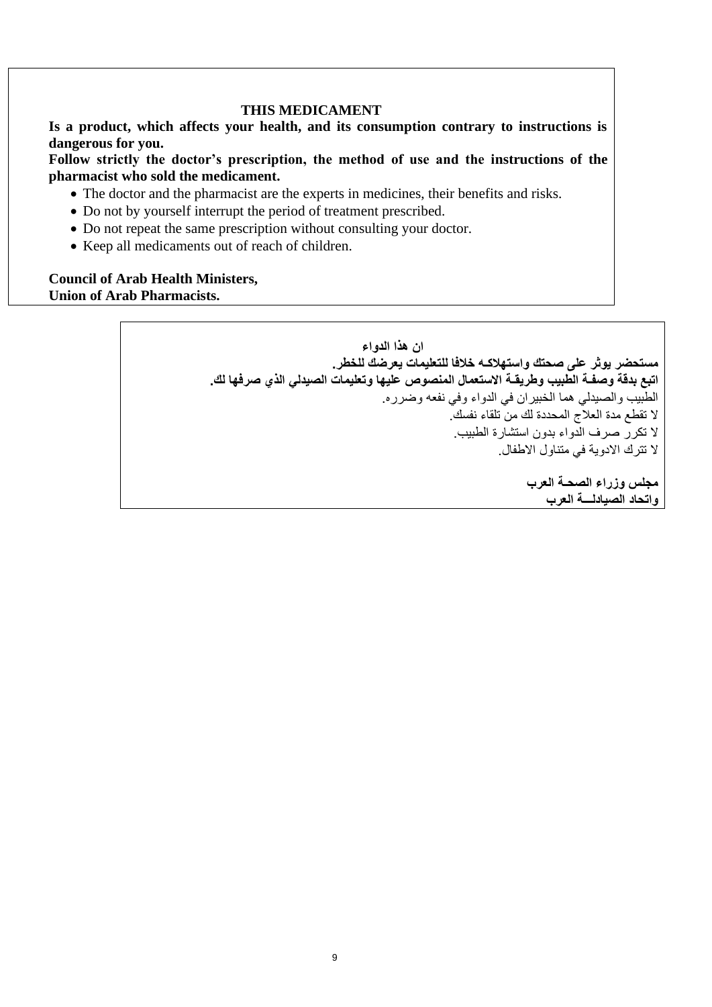#### **THIS MEDICAMENT**

**Is a product, which affects your health, and its consumption contrary to instructions is dangerous for you.** 

**Follow strictly the doctor's prescription, the method of use and the instructions of the pharmacist who sold the medicament.** 

- The doctor and the pharmacist are the experts in medicines, their benefits and risks.
- Do not by yourself interrupt the period of treatment prescribed.
- Do not repeat the same prescription without consulting your doctor.
- Keep all medicaments out of reach of children.

#### **Council of Arab Health Ministers, Union of Arab Pharmacists.**

**ان هذا الدواء مستحضر يوثر على صحتك واستهالكـه خالفا للتعليمات يعرضك للخطر. اتبع بدقة وصفـة الطبيب وطريقـة االستعمال المنصوص عليها وتعليمات الصيدلي الذي صرفها لك.** • الطبيب والصيدلي هما الخبيران في الدواء وفي نفعه وضرره. • ال تقطع مدة العالج المحددة لك من تلقاء نفسك. • ال تكرر صرف الدواء بدون استشارة الطبيب. • ال تترك االدوية في متناول االطفال. **مجلس وزراء الصحـة العرب واتحاد الصيادلـــة العرب**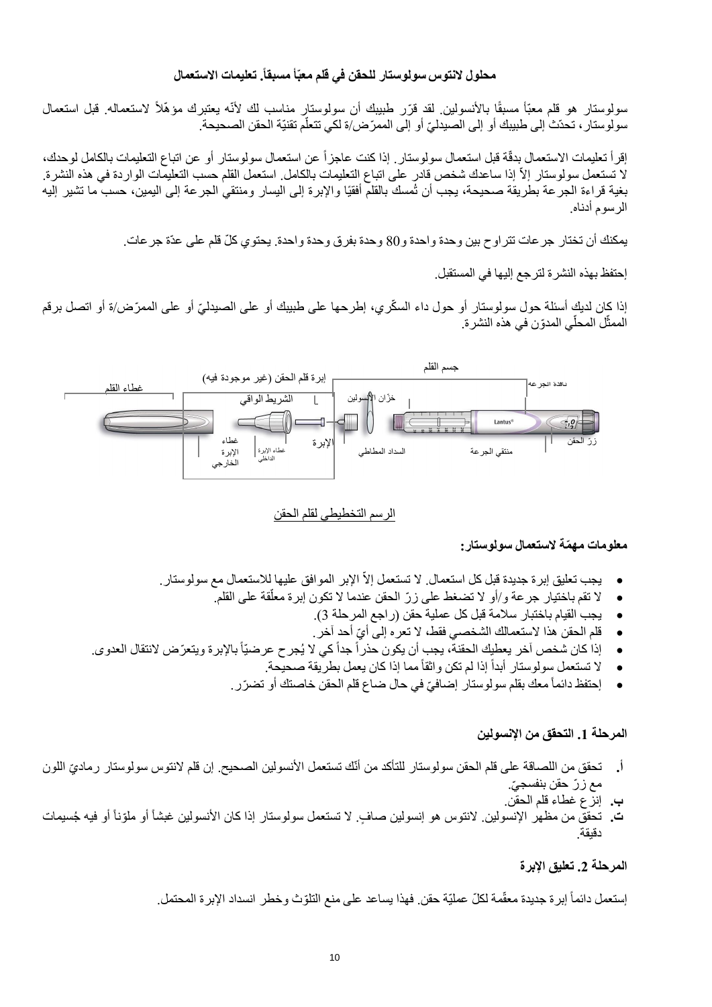## **محلول النتوس سولوستار للحقن في قلم معبّأ مسبقا . تعليمات االستعمال**

سولوستار هو قلم معبّأ مسبقًا بالأنسولين لقد قرّر طبيبك أن سولوستار مناسب لك لأنّه يعتبرك مؤهّلاً لاستعماله. قبل استعمال سولوستار ، تحدّث إلى طبيبك أو إلى الصيدليّ أو إلى الممرّ ض/ة لكي تتعلّم تقنيّة الحقن الصحيحة. ڵ

إقرأ تعليمات الاستعمال بدقّة قبل استعمال سولوستار . إذا كنت عاجزاً عن استعمال سولوستار أو عن اتباع التعليمات بالكامل لوحدك، لا تستعمل سولوستار إلاّ إذا ساعدك شخص قادر على اتباع التعليمات بالكامل. استعمل القلم حسب التعليمات الواردة في هذه النشرة. بغية قراءة الجرعة بطريقة صحيحة، يجب أن تُمسك بالقلم أفقيًا واإلبرة إلى اليسار ومنتقي الجرعة إلى اليمين، حسب ما تشير إليه الرسوم أدناه.

يمكنك أن تختار جر عات تتراوح بين وحدة واحدة و80 وحدة بفرق وحدة واحدة. يحتوي كلّ قلم على عدّة جر عات.

إحتفظ بهذه النشرة لترجع إليها في المستقبل.

إذا كان لديكٍ أسئلة حول سولوستار أو حول داء السكّري، إطرحها على طبيبك أو على الصبدليّ أو على الممرّض/ة أو اتصل برقم الممثّل المحلّي المدوّن في هذه النشرة.



#### الرسم التخطيطي لقلم الحقن

#### **معلومات مه ّمة الستعمال سولوستار:**

- يجب تعليق إبر ة جديدة قبل كل استعمال. لا تستعمل إلاّ الإبر الموافق عليها للاستعمال مع سولوستار.
	- قة على القلم. ال تقم باختيار جرعة و/أو ال تضغط على ز ّر الحقن عندما ال تكون إبرة معل أ
		- يجب القيام باختبار سالمة قبل كل عملية حقن )راجع المرحلة 3(.
		- ّي أحد آخر. قلم الحقن هذا الستعمالك الشخصي فقط، ال تعره إلى أ
- إذا كان شخص آخر يعطيك الحقنة، يجب أن يكون حذراً جداً كي لا يُجرح عرضيّاً بالإبرة ويتعرّض لانتقال العدوي.
	- لا تستعمل سولوستار أبدأ إذا لم تكن واثقاً مما إذا كان يعمل بطريقة صحيحة.
	- إحتفظ دائماً معك بقلم سولوستار إضافيّ في حال ضباع قلم الحقن خاصنك أو تضرّر.

## **المرحلة .1 التحقق من اإلنسولين**

- أ. تحقق من اللصاقة على قلم الحقن سولوستار للتأكد من أنّك تستعمل الأنسولين الصحيح. إن قلم لانتوس سولوستار رماديّ اللون مع زرّ حقن بنفسجيّ.
	- **ب.** إنزع غطاء قلم الحقن.
- ت. تحقق من مظهر الإنسولين<sub>.</sub> لانتوس هو إنسولين صـافٍ. لا تستعمل سولوستار إذا كان الأنسولين غبشاً أو ملوّناً أو فيه جُسيمات دقيقة.

#### **المرحلة .2 تعليق اإلبرة**

إستعمل دائماً إبر ة جديدة معقّمة لكلّ عمليّة حقن. فهذا يساعد على منع التلوّث وخطر انسداد الإبرة المحتمل.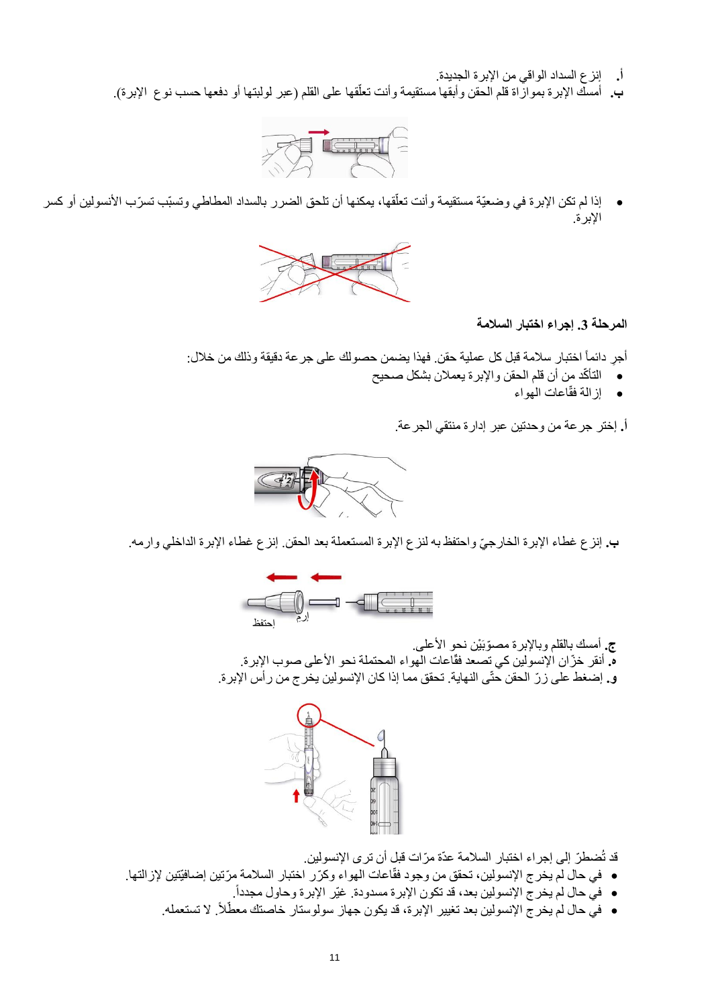- **أ.** إنزع السداد الواقي من اإلبرة الجديدة.
- ب. أمسك الإبرة بموازاة قلم الحقن وأبقها مستقيمة وأنت تعلقها على القلم (عبر لولبتها أو دفعها حسب نوع الإبرة). أ



• إذا لم تكن الإبرة في وضعيّة مستقيمة وأنت تعلّقها، يمكنها أن تلحق الضرر بالسداد المطاطي وتسبّب تسرّب الأنسولين أو كسر أ اإلبرة.



**المرحلة .3 إجراء اختبار السالمة**

أجرٍ دائماً اختبار سلامة قبل كل عملية حقن. فهذا يضمن حصولك على جرعة دقيقة وذلك من خلال:

- التأ ّكد من أن قلم الحقن واإلبرة يعمالن بشكل صحيح
	- اعات الهواء إزالة فقّ

**أ.** إختر جرعة من وحدتين عبر إدارة منتقي الجرعة.



**ب.** إنزع غطاء اإلبرة الخارج ّي واحتفظ به لنزع اإلبرة المستعملة بعد الحقن. إنزع غطاء اإلبرة الداخلي وارمه.



**ج.** أمسك بالقلم وباإلبرة مصّوبَ ْين نحو األعلى. ه. أنقر خزّ ان الإنسولين كي تصعد فقّاعات الهواء المحتملة نحو الأعلى صوب الإبرة. **و.** إضغط على ز ّر الحقن حتّى النهاية. تحقق مما إذا كان اإلنسولين يخرج من رأس اإلبرة.



قد تُضطرّ إلى إجراء اختبار السلامة عدّة مرّات قبل أن ترى الإنسولين.

- في حال لم يخرج الإنسولين، تحقق من وجود فقّاعات المهواء وكرّر اختبار السلامة مرّتين إضافيّتين لإزالتها.
	- . في حال لم يخرج اإلنسولين بعد، قد تكون اإلبرة مسدودة. غيّر اإلبرة وحاول مجدداً
	- في حال لم يخرج الإنسولين بعد تغيير الإبرة، قد يكون جهاز سولوستار خاصتك معطّلاً. لا تستعمله.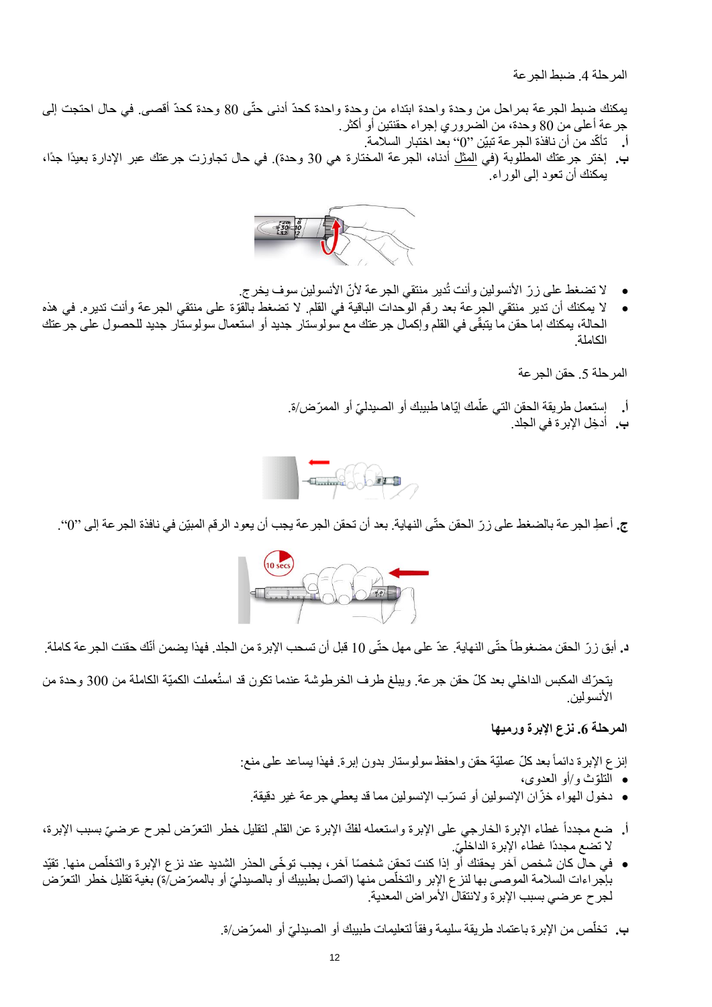المرحلة 4. ضبط الجرعة

يمكنك ضبط الجرعة بمراحل من وحدة واحدة ابتداء من وحدة واحدة كحدّ أدنى حتّى 80 وحدة كحدّ أقصى. في حال احتجت إلى جرعة أعلى من 80 وحدة، من الضروري إجراء حقنتين أو أكثر.

- أ. تأكّد من أن نافذة الجر عة تبيّن ''()'' بعد اختبار السلامة.
- **ب.** إختر جرعتك المطلوبة )في المثل أدناه، الجرعة المختارة هي 30 وحدة(. في حال تجاوزت جرعتك عبر اإلدارة بعيدًا جدًا، يمكنك أن تعود إلى الوراء.



- لا تضغط على ز رّ الأنسولين وأنت تُدير منتقى الجرعة لأنّ الأنسولين سوف يخرج.
- لا يمكنك أن تدير منتقي الجرعة بعد رقم الوحدات الباقية في القلم. لا تضغط بالقوّة على منتقي الجرعة وأنت تديره. في هذه الحالة، يمكنك إما حقن ما يتبقّى في القلم وإكمال جرعتك مع سولوستار جديد أو استعمال سولوستار جديد للحصول على جرعتك الكاملة.

المرحلة 5. حقن الجرعة

أ. إِستعمل طريقة الحقن التي علّمك إيّاها طبيبك أو الصبدليّ أو الممرّض/ة. **ب.** أدخِل الإبر ة في الجلد.



**ج.** أع ِط الجرعة بالضغط على ز ّر الحقن حتّى النهاية. بعد أن تحقن الجرعة يجب أن يعود الرقم المبيّن في نافذة الجرعة إلى "0".



**د.** أبق ز ّر الحقن مضغوطاً حتّى النهاية. عدّ على مهل حتّى 10 قبل أن تسحب اإلبرة من الجلد. فهذا يضمن أنّك حقنت الجرعة كاملة.

يتحرّك المكبس الداخلي بعد كلّ حقن جرعة. ويبلغ طرف الخرطوشة عندما تكون قد استُعملت الكميّة الكاملة من 300 وحدة من الأنسولين.

#### **المرحلة .6 نزع اإلبرة ورميها**

إنزع الإبرة دائماً بعد كلّ عمليّة حقن واحفظ سولوستار بدون إبرة. فهذا يساعد على منع:

- ّوث و/أو العدوى، التل
- دخول الهواء خ ّزان اإلنسولين أو تس ّرب اإلنسولين مما قد يعطي جرعة غير دقيقة.
- أ. ضع مجدداً غطاء الإبرة الخارجي على الإبرة واستعمله لفكّ الإبرة عن القلم. لتقليل خطر التعرّض لجرح عرضيّ بسبب الإبرة، لا تضع مجددًا غطاء الإبرة الداخليّ.
- في حالّ كان شخص آخر يحقنك أو إذا كنت تحقّن شخصًا آخر ، يجب توخّى الحذر الشديد عند نزع الإبرة والتخلّص منها. تقيّد بإجر اءات السلامة الموصىي بها لنز ع الإبر والتخلّص منها (اتصل بطبيبك أو بالصيدليّ أو بالممرّض/ة) بغية تقليل خطر التعرّض لجرح عرضي بسبب الإبرة ولانتقال الأمراض المعدية.

ب. تخلّص من الإبرة باعتماد طريقة سليمة وفقاً لتعليمات طبيبك أو الصيدليّ أو الممرّض/ة.